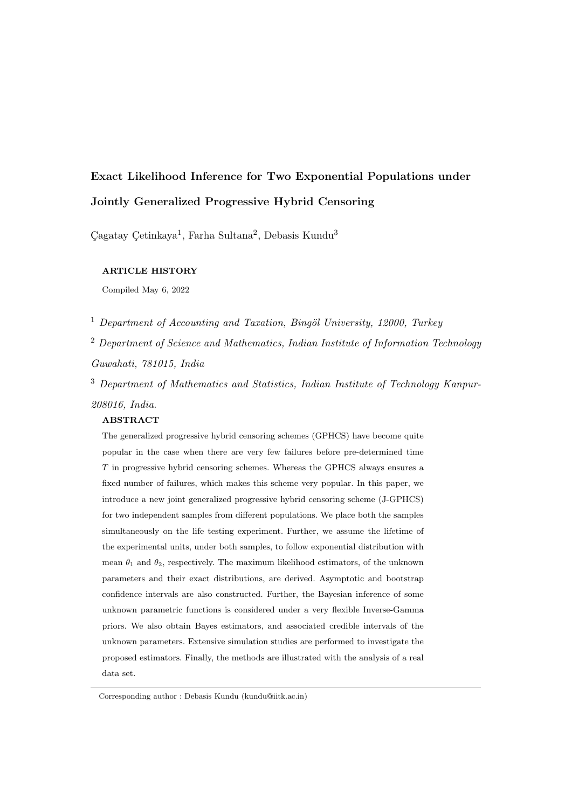# Exact Likelihood Inference for Two Exponential Populations under Jointly Generalized Progressive Hybrid Censoring

Gagatay Çetinkaya<sup>1</sup>, Farha Sultana<sup>2</sup>, Debasis Kundu<sup>3</sup>

## ARTICLE HISTORY

Compiled May 6, 2022

<sup>1</sup> Department of Accounting and Taxation, Bingöl University, 12000, Turkey

<sup>2</sup> Department of Science and Mathematics, Indian Institute of Information Technology Guwahati, 781015, India

<sup>3</sup> Department of Mathematics and Statistics, Indian Institute of Technology Kanpur-208016, India.

### ABSTRACT

The generalized progressive hybrid censoring schemes (GPHCS) have become quite popular in the case when there are very few failures before pre-determined time T in progressive hybrid censoring schemes. Whereas the GPHCS always ensures a fixed number of failures, which makes this scheme very popular. In this paper, we introduce a new joint generalized progressive hybrid censoring scheme (J-GPHCS) for two independent samples from different populations. We place both the samples simultaneously on the life testing experiment. Further, we assume the lifetime of the experimental units, under both samples, to follow exponential distribution with mean  $\theta_1$  and  $\theta_2$ , respectively. The maximum likelihood estimators, of the unknown parameters and their exact distributions, are derived. Asymptotic and bootstrap confidence intervals are also constructed. Further, the Bayesian inference of some unknown parametric functions is considered under a very flexible Inverse-Gamma priors. We also obtain Bayes estimators, and associated credible intervals of the unknown parameters. Extensive simulation studies are performed to investigate the proposed estimators. Finally, the methods are illustrated with the analysis of a real data set.

Corresponding author : Debasis Kundu (kundu@iitk.ac.in)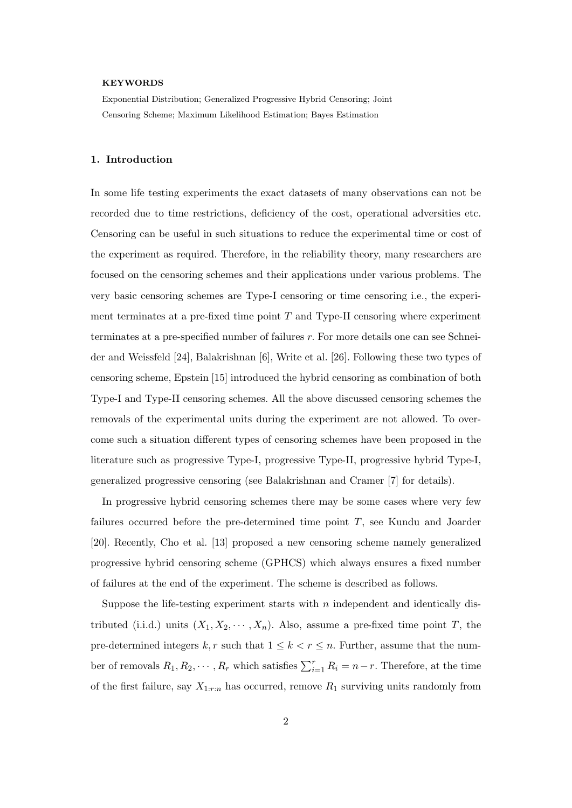#### KEYWORDS

Exponential Distribution; Generalized Progressive Hybrid Censoring; Joint Censoring Scheme; Maximum Likelihood Estimation; Bayes Estimation

#### 1. Introduction

In some life testing experiments the exact datasets of many observations can not be recorded due to time restrictions, deficiency of the cost, operational adversities etc. Censoring can be useful in such situations to reduce the experimental time or cost of the experiment as required. Therefore, in the reliability theory, many researchers are focused on the censoring schemes and their applications under various problems. The very basic censoring schemes are Type-I censoring or time censoring i.e., the experiment terminates at a pre-fixed time point  $T$  and Type-II censoring where experiment terminates at a pre-specified number of failures r. For more details one can see Schneider and Weissfeld [24], Balakrishnan [6], Write et al. [26]. Following these two types of censoring scheme, Epstein [15] introduced the hybrid censoring as combination of both Type-I and Type-II censoring schemes. All the above discussed censoring schemes the removals of the experimental units during the experiment are not allowed. To overcome such a situation different types of censoring schemes have been proposed in the literature such as progressive Type-I, progressive Type-II, progressive hybrid Type-I, generalized progressive censoring (see Balakrishnan and Cramer [7] for details).

In progressive hybrid censoring schemes there may be some cases where very few failures occurred before the pre-determined time point T, see Kundu and Joarder [20]. Recently, Cho et al. [13] proposed a new censoring scheme namely generalized progressive hybrid censoring scheme (GPHCS) which always ensures a fixed number of failures at the end of the experiment. The scheme is described as follows.

Suppose the life-testing experiment starts with  $n$  independent and identically distributed (i.i.d.) units  $(X_1, X_2, \dots, X_n)$ . Also, assume a pre-fixed time point T, the pre-determined integers  $k, r$  such that  $1 \leq k < r \leq n$ . Further, assume that the number of removals  $R_1, R_2, \cdots, R_r$  which satisfies  $\sum_{i=1}^r R_i = n-r$ . Therefore, at the time of the first failure, say  $X_{1:r:n}$  has occurred, remove  $R_1$  surviving units randomly from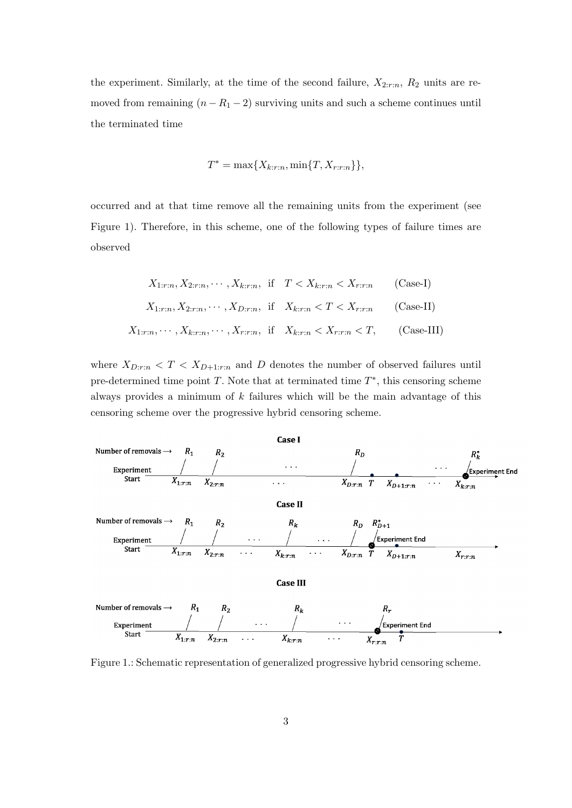the experiment. Similarly, at the time of the second failure,  $X_{2:r:n}$ ,  $R_2$  units are removed from remaining  $(n - R_1 - 2)$  surviving units and such a scheme continues until the terminated time

$$
T^* = \max\{X_{k:r:n}, \min\{T, X_{r:r:n}\}\},\
$$

occurred and at that time remove all the remaining units from the experiment (see Figure 1). Therefore, in this scheme, one of the following types of failure times are observed

$$
X_{1:r:n}, X_{2:r:n}, \cdots, X_{k:r:n}
$$
, if  $T < X_{k:r:n} < X_{r:r:n}$  (Case-I)  
\n $X_{1:r:n}, X_{2:r:n}, \cdots, X_{D:r:n}$ , if  $X_{k:r:n} < T < X_{r:r:n}$  (Case-II)  
\n $X_{1:r:n}, \cdots, X_{k:r:n}, \cdots, X_{r:r:n}$ , if  $X_{k:r:n} < X_{r:r:n} < T$ , (Case-III)

where  $X_{D:r:n} < T < X_{D+1:r:n}$  and D denotes the number of observed failures until pre-determined time point  $T$ . Note that at terminated time  $T^*$ , this censoring scheme always provides a minimum of  $k$  failures which will be the main advantage of this censoring scheme over the progressive hybrid censoring scheme.



Figure 1.: Schematic representation of generalized progressive hybrid censoring scheme.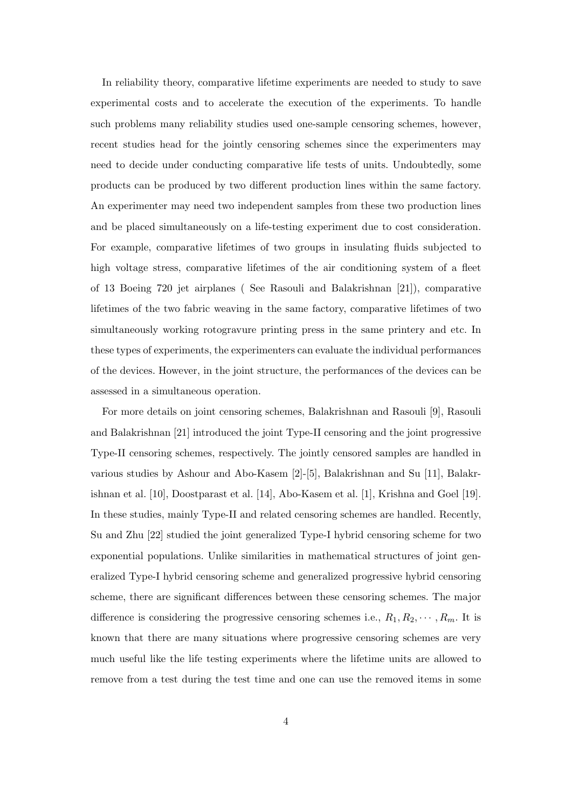In reliability theory, comparative lifetime experiments are needed to study to save experimental costs and to accelerate the execution of the experiments. To handle such problems many reliability studies used one-sample censoring schemes, however, recent studies head for the jointly censoring schemes since the experimenters may need to decide under conducting comparative life tests of units. Undoubtedly, some products can be produced by two different production lines within the same factory. An experimenter may need two independent samples from these two production lines and be placed simultaneously on a life-testing experiment due to cost consideration. For example, comparative lifetimes of two groups in insulating fluids subjected to high voltage stress, comparative lifetimes of the air conditioning system of a fleet of 13 Boeing 720 jet airplanes ( See Rasouli and Balakrishnan [21]), comparative lifetimes of the two fabric weaving in the same factory, comparative lifetimes of two simultaneously working rotogravure printing press in the same printery and etc. In these types of experiments, the experimenters can evaluate the individual performances of the devices. However, in the joint structure, the performances of the devices can be assessed in a simultaneous operation.

For more details on joint censoring schemes, Balakrishnan and Rasouli [9], Rasouli and Balakrishnan [21] introduced the joint Type-II censoring and the joint progressive Type-II censoring schemes, respectively. The jointly censored samples are handled in various studies by Ashour and Abo-Kasem [2]-[5], Balakrishnan and Su [11], Balakrishnan et al. [10], Doostparast et al. [14], Abo-Kasem et al. [1], Krishna and Goel [19]. In these studies, mainly Type-II and related censoring schemes are handled. Recently, Su and Zhu [22] studied the joint generalized Type-I hybrid censoring scheme for two exponential populations. Unlike similarities in mathematical structures of joint generalized Type-I hybrid censoring scheme and generalized progressive hybrid censoring scheme, there are significant differences between these censoring schemes. The major difference is considering the progressive censoring schemes i.e.,  $R_1, R_2, \cdots, R_m$ . It is known that there are many situations where progressive censoring schemes are very much useful like the life testing experiments where the lifetime units are allowed to remove from a test during the test time and one can use the removed items in some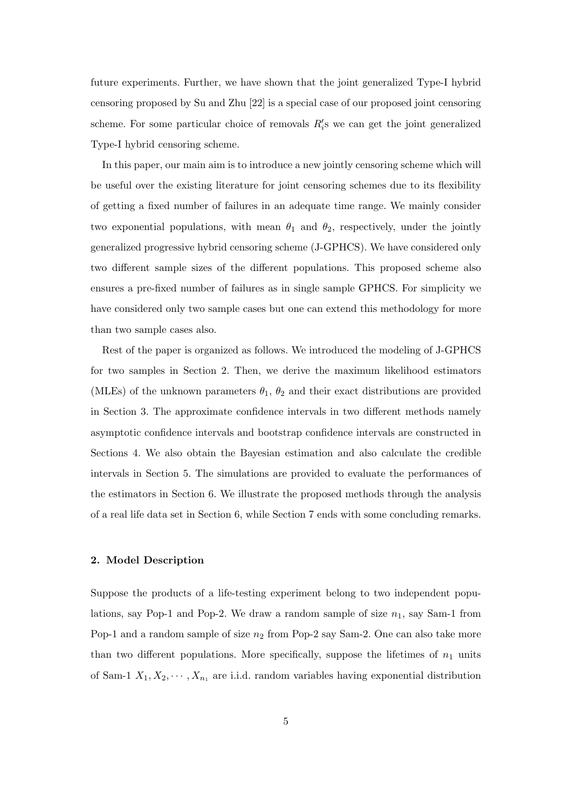future experiments. Further, we have shown that the joint generalized Type-I hybrid censoring proposed by Su and Zhu [22] is a special case of our proposed joint censoring scheme. For some particular choice of removals  $R_i$ 's we can get the joint generalized Type-I hybrid censoring scheme.

In this paper, our main aim is to introduce a new jointly censoring scheme which will be useful over the existing literature for joint censoring schemes due to its flexibility of getting a fixed number of failures in an adequate time range. We mainly consider two exponential populations, with mean  $\theta_1$  and  $\theta_2$ , respectively, under the jointly generalized progressive hybrid censoring scheme (J-GPHCS). We have considered only two different sample sizes of the different populations. This proposed scheme also ensures a pre-fixed number of failures as in single sample GPHCS. For simplicity we have considered only two sample cases but one can extend this methodology for more than two sample cases also.

Rest of the paper is organized as follows. We introduced the modeling of J-GPHCS for two samples in Section 2. Then, we derive the maximum likelihood estimators (MLEs) of the unknown parameters  $\theta_1$ ,  $\theta_2$  and their exact distributions are provided in Section 3. The approximate confidence intervals in two different methods namely asymptotic confidence intervals and bootstrap confidence intervals are constructed in Sections 4. We also obtain the Bayesian estimation and also calculate the credible intervals in Section 5. The simulations are provided to evaluate the performances of the estimators in Section 6. We illustrate the proposed methods through the analysis of a real life data set in Section 6, while Section 7 ends with some concluding remarks.

# 2. Model Description

Suppose the products of a life-testing experiment belong to two independent populations, say Pop-1 and Pop-2. We draw a random sample of size  $n_1$ , say Sam-1 from Pop-1 and a random sample of size  $n_2$  from Pop-2 say Sam-2. One can also take more than two different populations. More specifically, suppose the lifetimes of  $n_1$  units of Sam-1  $X_1, X_2, \cdots, X_{n_1}$  are i.i.d. random variables having exponential distribution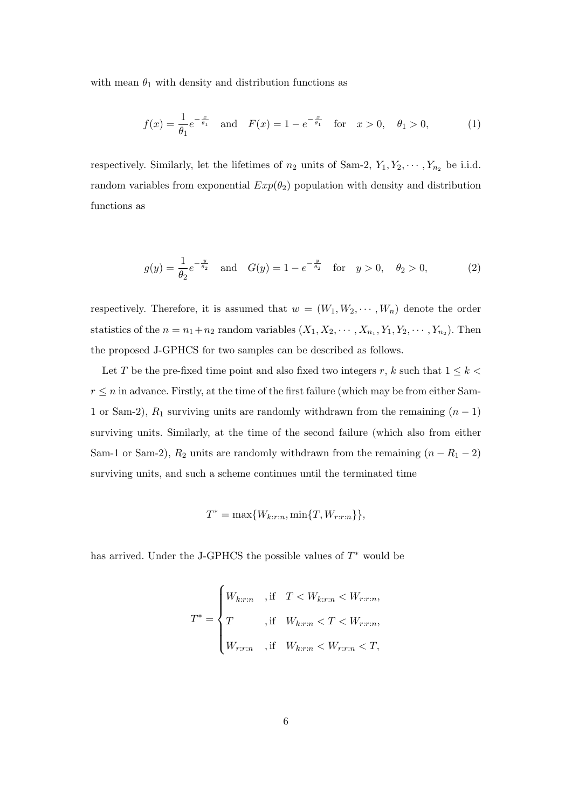with mean  $\theta_1$  with density and distribution functions as

$$
f(x) = \frac{1}{\theta_1} e^{-\frac{x}{\theta_1}} \quad \text{and} \quad F(x) = 1 - e^{-\frac{x}{\theta_1}} \quad \text{for} \quad x > 0, \quad \theta_1 > 0,\tag{1}
$$

respectively. Similarly, let the lifetimes of  $n_2$  units of Sam-2,  $Y_1, Y_2, \cdots, Y_{n_2}$  be i.i.d. random variables from exponential  $Exp(\theta_2)$  population with density and distribution functions as

$$
g(y) = \frac{1}{\theta_2} e^{-\frac{y}{\theta_2}}
$$
 and  $G(y) = 1 - e^{-\frac{y}{\theta_2}}$  for  $y > 0$ ,  $\theta_2 > 0$ , (2)

respectively. Therefore, it is assumed that  $w = (W_1, W_2, \cdots, W_n)$  denote the order statistics of the  $n = n_1 + n_2$  random variables  $(X_1, X_2, \dots, X_{n_1}, Y_1, Y_2, \dots, Y_{n_2})$ . Then the proposed J-GPHCS for two samples can be described as follows.

Let T be the pre-fixed time point and also fixed two integers r, k such that  $1 \leq k$  $r \leq n$  in advance. Firstly, at the time of the first failure (which may be from either Sam-1 or Sam-2),  $R_1$  surviving units are randomly withdrawn from the remaining  $(n-1)$ surviving units. Similarly, at the time of the second failure (which also from either Sam-1 or Sam-2),  $R_2$  units are randomly withdrawn from the remaining  $(n - R_1 - 2)$ surviving units, and such a scheme continues until the terminated time

$$
T^* = \max\{W_{k:r:n}, \min\{T, W_{r:r:n}\}\},\
$$

has arrived. Under the J-GPHCS the possible values of  $T^*$  would be

$$
T^* = \begin{cases} W_{k:r:n} & \text{if} \quad T < W_{k:r:n} < W_{r:r:n}, \\ T & \text{if} \quad W_{k:r:n} < T < W_{r:r:n}, \\ W_{r:r:n} & \text{if} \quad W_{k:r:n} < W_{r:r:n} < T, \end{cases}
$$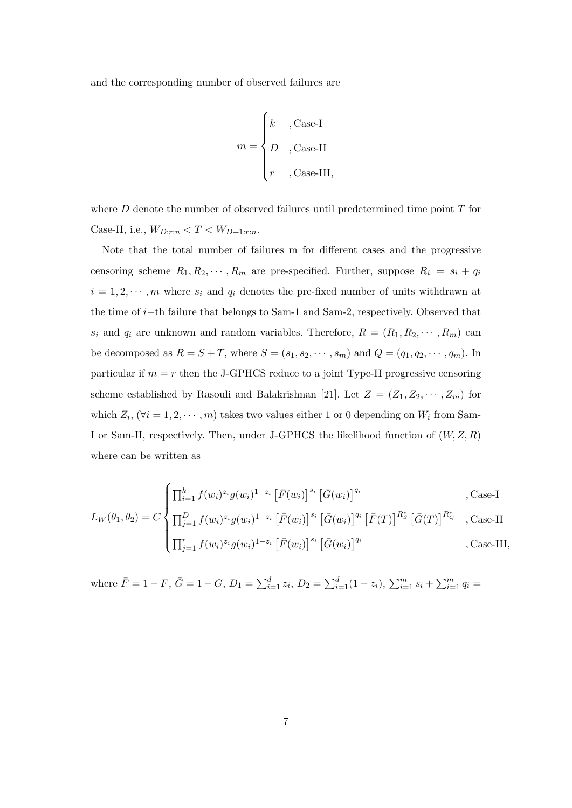and the corresponding number of observed failures are

$$
m = \begin{cases} k & , \text{Case-I} \\ D & , \text{Case-II} \\ r & , \text{Case-III}, \end{cases}
$$

where  $D$  denote the number of observed failures until predetermined time point  $T$  for Case-II, i.e.,  $W_{D:r:n} < T < W_{D+1:r:n}$ .

Note that the total number of failures m for different cases and the progressive censoring scheme  $R_1, R_2, \cdots, R_m$  are pre-specified. Further, suppose  $R_i = s_i + q_i$  $i = 1, 2, \dots, m$  where  $s_i$  and  $q_i$  denotes the pre-fixed number of units withdrawn at the time of i−th failure that belongs to Sam-1 and Sam-2, respectively. Observed that  $s_i$  and  $q_i$  are unknown and random variables. Therefore,  $R = (R_1, R_2, \dots, R_m)$  can be decomposed as  $R = S + T$ , where  $S = (s_1, s_2, \dots, s_m)$  and  $Q = (q_1, q_2, \dots, q_m)$ . In particular if  $m = r$  then the J-GPHCS reduce to a joint Type-II progressive censoring scheme established by Rasouli and Balakrishnan [21]. Let  $Z = (Z_1, Z_2, \cdots, Z_m)$  for which  $Z_i$ ,  $(\forall i = 1, 2, \dots, m)$  takes two values either 1 or 0 depending on  $W_i$  from Sam-I or Sam-II, respectively. Then, under J-GPHCS the likelihood function of  $(W, Z, R)$ where can be written as

$$
L_W(\theta_1, \theta_2) = C \begin{cases} \prod_{i=1}^k f(w_i)^{z_i} g(w_i)^{1-z_i} \left[ \bar{F}(w_i) \right]^{s_i} \left[ \bar{G}(w_i) \right]^{q_i} & , \text{Case-I} \\ \prod_{j=1}^D f(w_i)^{z_i} g(w_i)^{1-z_i} \left[ \bar{F}(w_i) \right]^{s_i} \left[ \bar{G}(w_i) \right]^{q_i} \left[ \bar{F}(T) \right]^{R_S^*} & , \text{Case-II} \\ \prod_{j=1}^r f(w_i)^{z_j} g(w_i)^{1-z_i} \left[ \bar{F}(w_i) \right]^{s_i} \left[ \bar{G}(w_i) \right]^{q_i} & , \text{Case-III}, \end{cases}
$$

where  $\bar{F} = 1 - F$ ,  $\bar{G} = 1 - G$ ,  $D_1 = \sum_{i=1}^d z_i$ ,  $D_2 = \sum_{i=1}^d (1 - z_i)$ ,  $\sum_{i=1}^m s_i + \sum_{i=1}^m q_i =$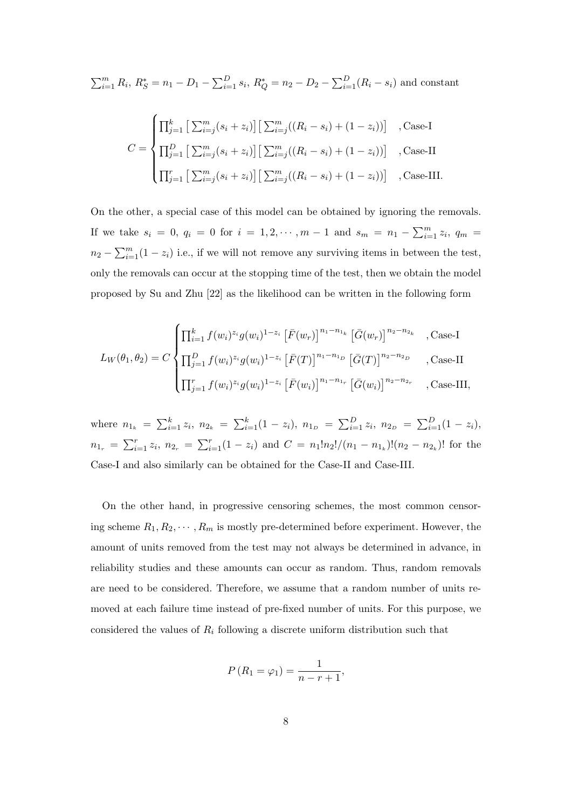$$
\sum_{i=1}^{m} R_i, R_S^* = n_1 - D_1 - \sum_{i=1}^{D} s_i, R_Q^* = n_2 - D_2 - \sum_{i=1}^{D} (R_i - s_i)
$$
 and constant

$$
C = \begin{cases} \prod_{j=1}^{k} \left[ \sum_{i=j}^{m} (s_i + z_i) \right] \left[ \sum_{i=j}^{m} ((R_i - s_i) + (1 - z_i)) \right] & , \text{Case-I} \\ \prod_{j=1}^{D} \left[ \sum_{i=j}^{m} (s_i + z_i) \right] \left[ \sum_{i=j}^{m} ((R_i - s_i) + (1 - z_i)) \right] & , \text{Case-II} \\ \prod_{j=1}^{r} \left[ \sum_{i=j}^{m} (s_i + z_i) \right] \left[ \sum_{i=j}^{m} ((R_i - s_i) + (1 - z_i)) \right] & , \text{Case-III.} \end{cases}
$$

On the other, a special case of this model can be obtained by ignoring the removals. If we take  $s_i = 0, q_i = 0$  for  $i = 1, 2, \dots, m - 1$  and  $s_m = n_1 - \sum_{i=1}^{m} z_i, q_m =$  $n_2 - \sum_{i=1}^{m} (1 - z_i)$  i.e., if we will not remove any surviving items in between the test, only the removals can occur at the stopping time of the test, then we obtain the model proposed by Su and Zhu [22] as the likelihood can be written in the following form

$$
L_W(\theta_1, \theta_2) = C \begin{cases} \prod_{i=1}^k f(w_i)^{z_i} g(w_i)^{1-z_i} \left[ \bar{F}(w_r) \right]^{n_1 - n_{1_k}} \left[ \bar{G}(w_r) \right]^{n_2 - n_{2_k}} & , \text{Case-I} \\ \prod_{j=1}^D f(w_i)^{z_j} g(w_i)^{1-z_i} \left[ \bar{F}(T) \right]^{n_1 - n_{1_D}} \left[ \bar{G}(T) \right]^{n_2 - n_{2_D}} & , \text{Case-II} \\ \prod_{j=1}^r f(w_i)^{z_j} g(w_i)^{1-z_i} \left[ \bar{F}(w_i) \right]^{n_1 - n_{1_r}} \left[ \bar{G}(w_i) \right]^{n_2 - n_{2_r}} & , \text{Case-III}, \end{cases}
$$

where  $n_{1_k} = \sum_{i=1}^k z_i$ ,  $n_{2_k} = \sum_{i=1}^k (1-z_i)$ ,  $n_{1_D} = \sum_{i=1}^D z_i$ ,  $n_{2_D} = \sum_{i=1}^D (1-z_i)$ ,  $n_{1_r} = \sum_{i=1}^r z_i$ ,  $n_{2_r} = \sum_{i=1}^r (1 - z_i)$  and  $C = n_1! n_2! / (n_1 - n_{1_k})! (n_2 - n_{2_k})!$  for the Case-I and also similarly can be obtained for the Case-II and Case-III.

On the other hand, in progressive censoring schemes, the most common censoring scheme  $R_1, R_2, \dots, R_m$  is mostly pre-determined before experiment. However, the amount of units removed from the test may not always be determined in advance, in reliability studies and these amounts can occur as random. Thus, random removals are need to be considered. Therefore, we assume that a random number of units removed at each failure time instead of pre-fixed number of units. For this purpose, we considered the values of  $R_i$  following a discrete uniform distribution such that

$$
P(R_1 = \varphi_1) = \frac{1}{n - r + 1},
$$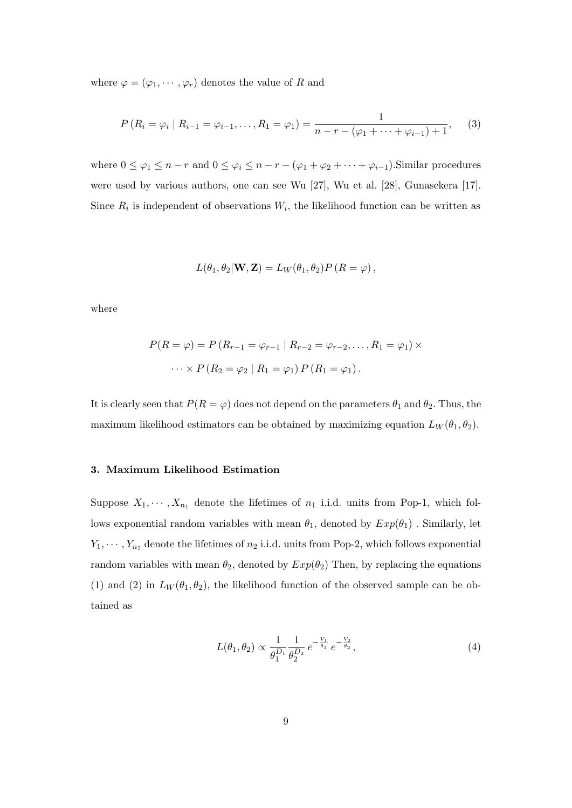where  $\varphi = (\varphi_1, \dots, \varphi_r)$  denotes the value of R and

$$
P(R_i = \varphi_i \mid R_{i-1} = \varphi_{i-1}, \dots, R_1 = \varphi_1) = \frac{1}{n - r - (\varphi_1 + \dots + \varphi_{i-1}) + 1}, \quad (3)
$$

where  $0 \le \varphi_1 \le n-r$  and  $0 \le \varphi_i \le n-r - (\varphi_1 + \varphi_2 + \cdots + \varphi_{i-1})$ . Similar procedures were used by various authors, one can see Wu [27], Wu et al. [28], Gunasekera [17]. Since  $R_i$  is independent of observations  $W_i$ , the likelihood function can be written as

$$
L(\theta_1, \theta_2 | \mathbf{W}, \mathbf{Z}) = L_W(\theta_1, \theta_2) P (R = \varphi),
$$

where

$$
P(R = \varphi) = P(R_{r-1} = \varphi_{r-1} | R_{r-2} = \varphi_{r-2}, \dots, R_1 = \varphi_1) \times \dots \times P(R_2 = \varphi_2 | R_1 = \varphi_1) P(R_1 = \varphi_1).
$$

It is clearly seen that  $P(R = \varphi)$  does not depend on the parameters  $\theta_1$  and  $\theta_2$ . Thus, the maximum likelihood estimators can be obtained by maximizing equation  $L_W(\theta_1, \theta_2)$ .

# 3. Maximum Likelihood Estimation

Suppose  $X_1, \dots, X_{n_1}$  denote the lifetimes of  $n_1$  i.i.d. units from Pop-1, which follows exponential random variables with mean  $\theta_1$ , denoted by  $Exp(\theta_1)$ . Similarly, let  $Y_1, \dots, Y_{n_2}$  denote the lifetimes of  $n_2$  i.i.d. units from Pop-2, which follows exponential random variables with mean  $\theta_2$ , denoted by  $Exp(\theta_2)$  Then, by replacing the equations (1) and (2) in  $L_W(\theta_1, \theta_2)$ , the likelihood function of the observed sample can be obtained as

$$
L(\theta_1, \theta_2) \propto \frac{1}{\theta_1^{D_1}} \frac{1}{\theta_2^{D_2}} e^{-\frac{V_1}{\theta_1}} e^{-\frac{V_2}{\theta_2}}, \tag{4}
$$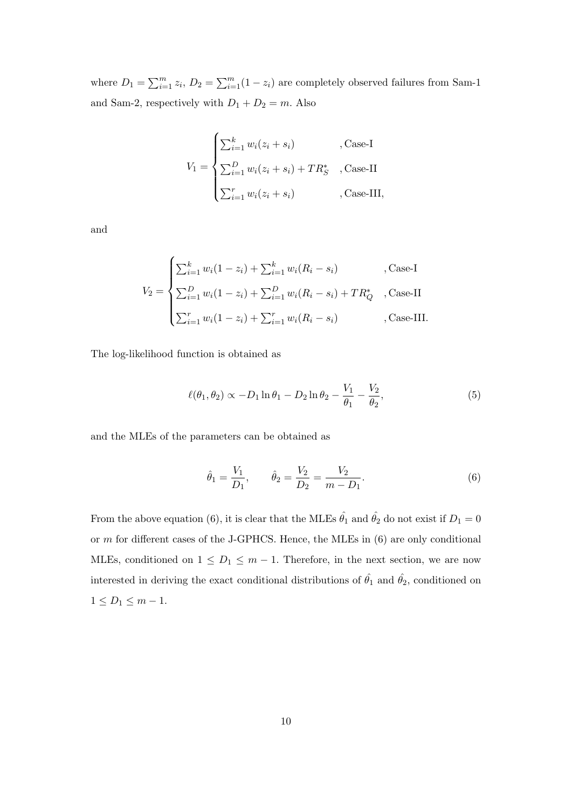where  $D_1 = \sum_{i=1}^m z_i$ ,  $D_2 = \sum_{i=1}^m (1 - z_i)$  are completely observed failures from Sam-1 and Sam-2, respectively with  $D_1 + D_2 = m$ . Also

$$
V_1 = \begin{cases} \sum_{i=1}^k w_i (z_i + s_i) & , \text{Case-I} \\ \sum_{i=1}^D w_i (z_i + s_i) + T R_S^* & , \text{Case-II} \\ \sum_{i=1}^r w_i (z_i + s_i) & , \text{Case-III}, \end{cases}
$$

and

$$
V_2 = \begin{cases} \sum_{i=1}^k w_i (1 - z_i) + \sum_{i=1}^k w_i (R_i - s_i) & , \text{Case-I} \\ \sum_{i=1}^D w_i (1 - z_i) + \sum_{i=1}^D w_i (R_i - s_i) + TR_Q^* & , \text{Case-II} \\ \sum_{i=1}^r w_i (1 - z_i) + \sum_{i=1}^r w_i (R_i - s_i) & , \text{Case-III.} \end{cases}
$$

The log-likelihood function is obtained as

$$
\ell(\theta_1, \theta_2) \propto -D_1 \ln \theta_1 - D_2 \ln \theta_2 - \frac{V_1}{\theta_1} - \frac{V_2}{\theta_2},
$$
\n(5)

and the MLEs of the parameters can be obtained as

$$
\hat{\theta}_1 = \frac{V_1}{D_1}, \qquad \hat{\theta}_2 = \frac{V_2}{D_2} = \frac{V_2}{m - D_1}.
$$
\n(6)

From the above equation (6), it is clear that the MLEs  $\hat{\theta_1}$  and  $\hat{\theta_2}$  do not exist if  $D_1 = 0$ or m for different cases of the J-GPHCS. Hence, the MLEs in (6) are only conditional MLEs, conditioned on  $1 \leq D_1 \leq m-1$ . Therefore, in the next section, we are now interested in deriving the exact conditional distributions of  $\hat{\theta_1}$  and  $\hat{\theta_2}$ , conditioned on  $1 \leq D_1 \leq m-1.$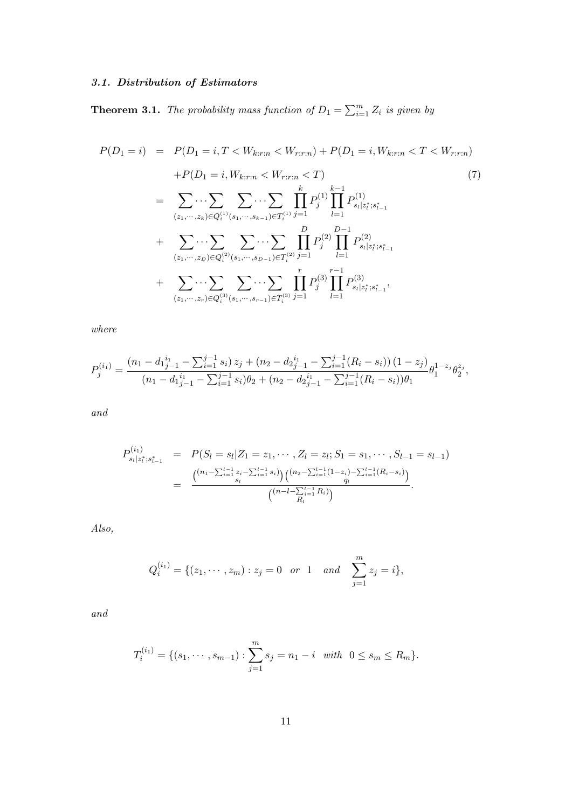# 3.1. Distribution of Estimators

**Theorem 3.1.** The probability mass function of  $D_1 = \sum_{i=1}^{m} Z_i$  is given by

$$
P(D_1 = i) = P(D_1 = i, T < W_{k:r:n} < W_{r:r:n}) + P(D_1 = i, W_{k:r:n} < T < W_{r:r:n})
$$
\n
$$
+ P(D_1 = i, W_{k:r:n} < W_{r:r:n} < T)
$$
\n
$$
= \sum_{(z_1, \dots, z_k) \in Q_i^{(1)}(s_1, \dots, s_{k-1}) \in T_i^{(1)}} \prod_{j=1}^k P_j^{(1)} \prod_{l=1}^{k-1} P_{s_l | z_l^*; s_{l-1}^*}^{(1)}
$$
\n
$$
+ \sum_{(z_1, \dots, z_D) \in Q_i^{(2)}(s_1, \dots, s_{D-1}) \in T_i^{(2)}} \prod_{j=1}^D P_j^{(2)} \prod_{l=1}^{D-1} P_{s_l | z_l^*; s_{l-1}^*}^{(2)}
$$
\n
$$
+ \sum_{(z_1, \dots, z_D) \in Q_i^{(3)}(s_1, \dots, s_{D-1}) \in T_i^{(3)}} \prod_{j=1}^r P_j^{(3)} \prod_{l=1}^{r-1} P_{s_l | z_l^*; s_{l-1}^*}^{(3)},
$$

where

$$
P_j^{(i_1)} = \frac{(n_1 - d_1_{j-1}^{i_1} - \sum_{i=1}^{j-1} s_i) z_j + (n_2 - d_2_{j-1}^{i_1} - \sum_{i=1}^{j-1} (R_i - s_i)) (1 - z_j)}{(n_1 - d_1_{j-1}^{i_1} - \sum_{i=1}^{j-1} s_i) \theta_2 + (n_2 - d_2_{j-1}^{i_1} - \sum_{i=1}^{j-1} (R_i - s_i)) \theta_1} \theta_1^{1 - z_j} \theta_2^{z_j},
$$

and

$$
P_{s_l|z_l^*;s_{l-1}^*}^{(i_1)} = P(S_l = s_l | Z_1 = z_1, \cdots, Z_l = z_l; S_1 = s_1, \cdots, S_{l-1} = s_{l-1})
$$
  
= 
$$
\frac{\binom{(n_1 - \sum_{i=1}^{l-1} z_i - \sum_{i=1}^{l-1} s_i)}{s_l} \binom{(n_2 - \sum_{i=1}^{l-1} (1 - z_i) - \sum_{i=1}^{l-1} (R_i - s_i)}{q_l}}{\binom{(n - l - \sum_{i=1}^{l-1} R_i)}{R_l}}.
$$

Also,

$$
Q_i^{(i_1)} = \{ (z_1, \cdots, z_m) : z_j = 0 \text{ or } 1 \text{ and } \sum_{j=1}^m z_j = i \},
$$

and

$$
T_i^{(i_1)} = \{ (s_1, \cdots, s_{m-1}) : \sum_{j=1}^m s_j = n_1 - i \text{ with } 0 \le s_m \le R_m \}.
$$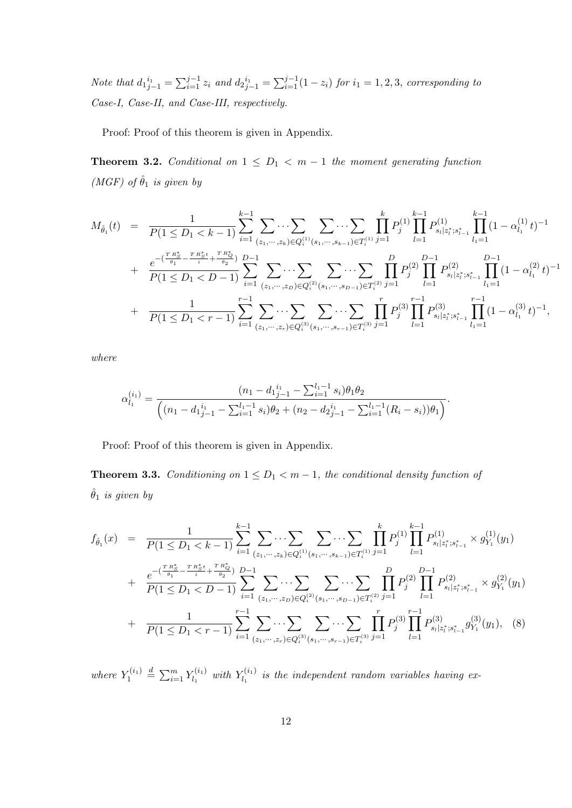Note that  $d_1i_1^{i_1} = \sum_{i=1}^{j-1} z_i$  and  $d_2i_1^{i_1} = \sum_{i=1}^{j-1} (1 - z_i)$  for  $i_1 = 1, 2, 3$ , corresponding to Case-I, Case-II, and Case-III, respectively.

Proof: Proof of this theorem is given in Appendix.

**Theorem 3.2.** Conditional on  $1 \leq D_1 < m-1$  the moment generating function (MGF) of  $\hat{\theta}_1$  is given by

$$
M_{\hat{\theta}_1}(t) = \frac{1}{P(1 \leq D_1 < k-1)} \sum_{i=1}^{k-1} \sum_{(z_1, \dots, z_k) \in Q_i^{(1)}(s_1, \dots, s_{k-1}) \in T_i^{(1)}} \prod_{j=1}^k P_j^{(1)} \prod_{l=1}^{k-1} P_{s_l | z_l^*; s_{l-1}^*}^{(1)} \prod_{l_1=1}^{k-1} (1 - \alpha_{l_1}^{(1)} t)^{-1} + \frac{e^{-(\frac{T R_S^*}{\theta_1} - \frac{T R_S^* t}{i} + \frac{T R_Q^*}{\theta_2})}}{P(1 \leq D_1 < D - 1)} \sum_{i=1}^{k-1} \sum_{(z_1, \dots, z_D) \in Q_i^{(2)}(s_1, \dots, s_{D-1}) \in T_i^{(2)}} \sum_{j=1}^{j-1} P_j^{(2)} \prod_{l=1}^{D-1} P_{s_l | z_l^*; s_{l-1}^*}^{(2)} \prod_{l_1=1}^{D-1} (1 - \alpha_{l_1}^{(2)} t)^{-1} + \frac{1}{P(1 \leq D_1 < r - 1)} \sum_{i=1}^{r-1} \sum_{(z_1, \dots, z_r) \in Q_i^{(3)}(s_1, \dots, s_{r-1}) \in T_i^{(3)}} \sum_{j=1}^{j-1} P_j^{(3)} \prod_{l=1}^{r-1} P_{s_l | z_l^*; s_{l-1}^*}^{(3)} \prod_{l_1=1}^{r-1} (1 - \alpha_{l_1}^{(3)} t)^{-1},
$$

where

$$
\alpha_{l_1}^{(i_1)} = \frac{(n_1 - d_1)_{j-1}^{i_1} - \sum_{i=1}^{l_1 - 1} s_i) \theta_1 \theta_2}{\left( (n_1 - d_1)_{j-1}^{i_1} - \sum_{i=1}^{l_1 - 1} s_i) \theta_2 + (n_2 - d_2)_{j-1}^{i_1} - \sum_{i=1}^{l_1 - 1} (R_i - s_i)) \theta_1 \right)}.
$$

Proof: Proof of this theorem is given in Appendix.

**Theorem 3.3.** Conditioning on  $1 \leq D_1 < m-1$ , the conditional density function of  $\hat{\theta}_1$  is given by

$$
f_{\hat{\theta}_1}(x) = \frac{1}{P(1 \leq D_1 < k - 1)} \sum_{i=1}^{k-1} \sum_{(z_1, \dots, z_k) \in Q_i^{(1)}(s_1, \dots, s_{k-1}) \in T_i^{(1)}} \sum_{j=1}^k P_j^{(1)} \prod_{l=1}^{k-1} P_{s_l | z_l^*; s_{l-1}^*}^{(1)} \times g_{Y_1}^{(1)}(y_1) + \frac{e^{-(\frac{T R_S^*}{\theta_1} - \frac{T R_S^* t}{i} + \frac{T R_Q^*}{\theta_2})}}{P(1 \leq D_1 < D - 1)} \sum_{i=1}^{k-1} \sum_{(z_1, \dots, z_D) \in Q_i^{(2)}(s_1, \dots, s_{D-1}) \in T_i^{(2)}} \sum_{j=1}^N \sum_{l=1}^D P_j^{(2)} \prod_{l=1}^{D-1} P_{s_l | z_l^*; s_{l-1}^*}^{(2)} \times g_{Y_1}^{(2)}(y_1) + \frac{1}{P(1 \leq D_1 < r - 1)} \sum_{i=1}^{r-1} \sum_{(z_1, \dots, z_r) \in Q_i^{(3)}(s_1, \dots, s_{r-1}) \in T_i^{(3)}} \sum_{j=1}^T P_j^{(3)} \prod_{l=1}^{r-1} P_{s_l | z_l^*; s_{l-1}^*}^{(3)} g_{Y_1}^{(3)}(y_1), \quad (8)
$$

where  $Y_1^{(i_1)}$  $Y_1^{(i_1)} \stackrel{d}{=} \sum_{i=1}^m Y_{l_1}^{(i_1)}$  $\chi_{l_1}^{(i_1)}$  with  $Y_{l_1}^{(i_1)}$  $\mathcal{L}_{l_1}^{(i_1)}$  is the independent random variables having ex-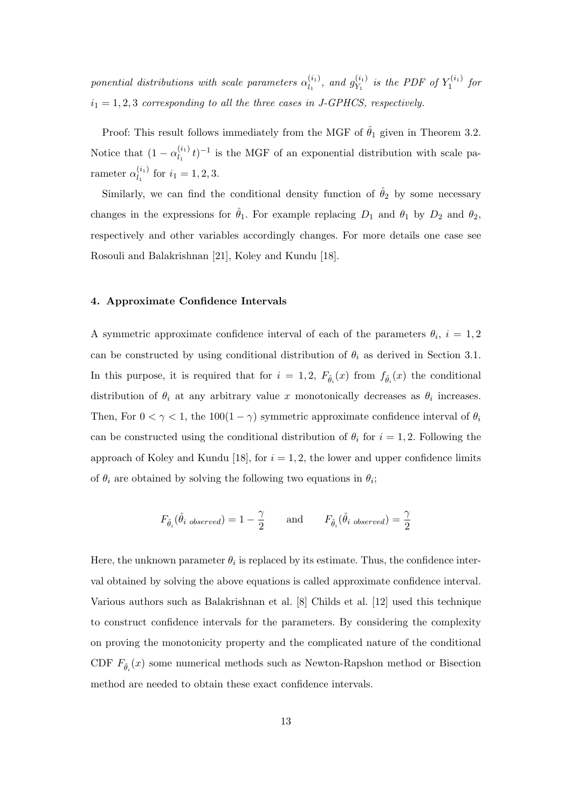ponential distributions with scale parameters  $\alpha_{l}^{(i_1)}$  $\binom{(i_1)}{l_1}$ , and  $g_{Y_1}^{(i_1)}$  $y_1^{(i_1)}$  is the PDF of  $Y_1^{(i_1)}$  $\int_1^{(i_1)}$  for  $i_1 = 1, 2, 3$  corresponding to all the three cases in J-GPHCS, respectively.

Proof: This result follows immediately from the MGF of  $\hat{\theta}_1$  given in Theorem 3.2. Notice that  $(1 - \alpha_l^{(i_1)})$  $\int_{l_1}^{(l_1)}(t)$ <sup>-1</sup> is the MGF of an exponential distribution with scale parameter  $\alpha_{l}^{(i_1)}$  $\int_{l_1}^{l_1}$  for  $i_1 = 1, 2, 3$ .

Similarly, we can find the conditional density function of  $\hat{\theta}_2$  by some necessary changes in the expressions for  $\hat{\theta}_1$ . For example replacing  $D_1$  and  $\theta_1$  by  $D_2$  and  $\theta_2$ , respectively and other variables accordingly changes. For more details one case see Rosouli and Balakrishnan [21], Koley and Kundu [18].

# 4. Approximate Confidence Intervals

A symmetric approximate confidence interval of each of the parameters  $\theta_i$ ,  $i = 1, 2$ can be constructed by using conditional distribution of  $\theta_i$  as derived in Section 3.1. In this purpose, it is required that for  $i = 1, 2, F_{\hat{\theta}_i}(x)$  from  $f_{\hat{\theta}_i}(x)$  the conditional distribution of  $\theta_i$  at any arbitrary value x monotonically decreases as  $\theta_i$  increases. Then, For  $0 < \gamma < 1$ , the  $100(1 - \gamma)$  symmetric approximate confidence interval of  $\theta_i$ can be constructed using the conditional distribution of  $\theta_i$  for  $i = 1, 2$ . Following the approach of Koley and Kundu [18], for  $i = 1, 2$ , the lower and upper confidence limits of  $\theta_i$  are obtained by solving the following two equations in  $\theta_i$ ;

$$
F_{\hat{\theta}_i}(\hat{\theta}_{i\ observed}) = 1 - \frac{\gamma}{2} \qquad \text{and} \qquad F_{\hat{\theta}_i}(\hat{\theta}_{i\ observed}) = \frac{\gamma}{2}
$$

Here, the unknown parameter  $\theta_i$  is replaced by its estimate. Thus, the confidence interval obtained by solving the above equations is called approximate confidence interval. Various authors such as Balakrishnan et al. [8] Childs et al. [12] used this technique to construct confidence intervals for the parameters. By considering the complexity on proving the monotonicity property and the complicated nature of the conditional CDF  $F_{\hat{\theta}_i}(x)$  some numerical methods such as Newton-Rapshon method or Bisection method are needed to obtain these exact confidence intervals.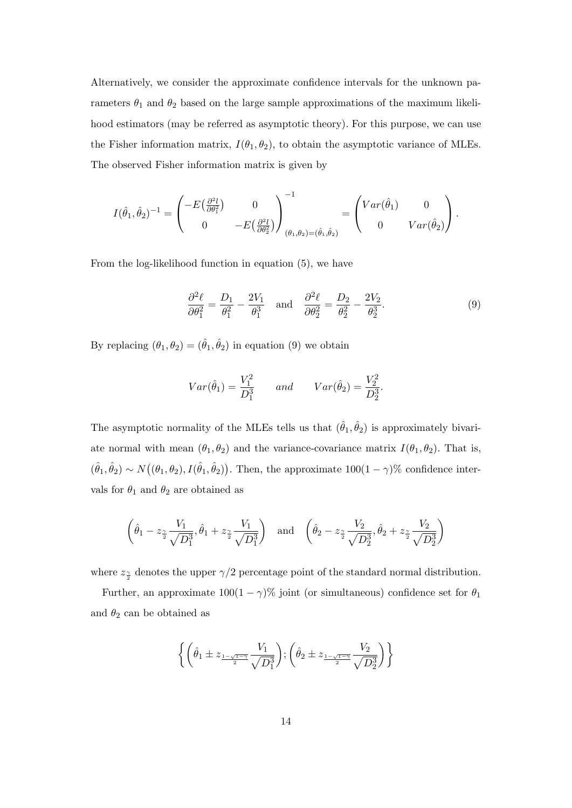Alternatively, we consider the approximate confidence intervals for the unknown parameters  $\theta_1$  and  $\theta_2$  based on the large sample approximations of the maximum likelihood estimators (may be referred as asymptotic theory). For this purpose, we can use the Fisher information matrix,  $I(\theta_1, \theta_2)$ , to obtain the asymptotic variance of MLEs. The observed Fisher information matrix is given by

$$
I(\hat{\theta}_1, \hat{\theta}_2)^{-1} = \begin{pmatrix} -E(\frac{\partial^2 l}{\partial \theta_1^2}) & 0 \\ 0 & -E(\frac{\partial^2 l}{\partial \theta_2^2}) \end{pmatrix}_{(\theta_1, \theta_2) = (\hat{\theta}_1, \hat{\theta}_2)}^{-1} = \begin{pmatrix} Var(\hat{\theta}_1) & 0 \\ 0 & Var(\hat{\theta}_2) \end{pmatrix}.
$$

From the log-likelihood function in equation (5), we have

$$
\frac{\partial^2 \ell}{\partial \theta_1^2} = \frac{D_1}{\theta_1^2} - \frac{2V_1}{\theta_1^3} \quad \text{and} \quad \frac{\partial^2 \ell}{\partial \theta_2^2} = \frac{D_2}{\theta_2^2} - \frac{2V_2}{\theta_2^3}.
$$
 (9)

By replacing  $(\theta_1, \theta_2) = (\hat{\theta}_1, \hat{\theta}_2)$  in equation (9) we obtain

$$
Var(\hat{\theta}_1) = \frac{V_1^2}{D_1^3}
$$
 and  $Var(\hat{\theta}_2) = \frac{V_2^2}{D_2^3}$ .

The asymptotic normality of the MLEs tells us that  $(\hat{\theta}_1, \hat{\theta}_2)$  is approximately bivariate normal with mean  $(\theta_1, \theta_2)$  and the variance-covariance matrix  $I(\theta_1, \theta_2)$ . That is,  $(\hat{\theta}_1, \hat{\theta}_2) \sim N((\theta_1, \theta_2), I(\hat{\theta}_1, \hat{\theta}_2)).$  Then, the approximate  $100(1 - \gamma)\%$  confidence intervals for  $\theta_1$  and  $\theta_2$  are obtained as

$$
\left(\hat{\theta}_1 - z_{\frac{\gamma}{2}} \frac{V_1}{\sqrt{D_1^3}}, \hat{\theta}_1 + z_{\frac{\gamma}{2}} \frac{V_1}{\sqrt{D_1^3}}\right)
$$
 and  $\left(\hat{\theta}_2 - z_{\frac{\gamma}{2}} \frac{V_2}{\sqrt{D_2^3}}, \hat{\theta}_2 + z_{\frac{\gamma}{2}} \frac{V_2}{\sqrt{D_2^3}}\right)$ 

where  $z_{\frac{\gamma}{2}}$  denotes the upper  $\gamma/2$  percentage point of the standard normal distribution.

Further, an approximate  $100(1 - \gamma)\%$  joint (or simultaneous) confidence set for  $\theta_1$ and  $\theta_2$  can be obtained as

$$
\left\{ \left( \hat{\theta}_1 \pm z_{\frac{1-\sqrt{1-\gamma}}{2}} \frac{V_1}{\sqrt{D_1^3}} \right); \left( \hat{\theta}_2 \pm z_{\frac{1-\sqrt{1-\gamma}}{2}} \frac{V_2}{\sqrt{D_2^3}} \right) \right\}
$$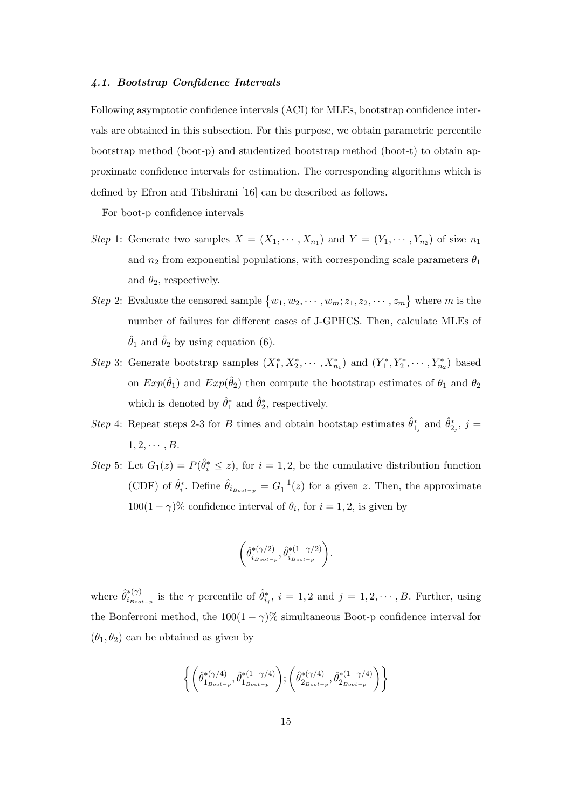### 4.1. Bootstrap Confidence Intervals

Following asymptotic confidence intervals (ACI) for MLEs, bootstrap confidence intervals are obtained in this subsection. For this purpose, we obtain parametric percentile bootstrap method (boot-p) and studentized bootstrap method (boot-t) to obtain approximate confidence intervals for estimation. The corresponding algorithms which is defined by Efron and Tibshirani [16] can be described as follows.

For boot-p confidence intervals

- Step 1: Generate two samples  $X = (X_1, \dots, X_{n_1})$  and  $Y = (Y_1, \dots, Y_{n_2})$  of size  $n_1$ and  $n_2$  from exponential populations, with corresponding scale parameters  $\theta_1$ and  $\theta_2$ , respectively.
- Step 2: Evaluate the censored sample  $\{w_1, w_2, \cdots, w_m; z_1, z_2, \cdots, z_m\}$  where m is the number of failures for different cases of J-GPHCS. Then, calculate MLEs of  $\hat{\theta}_1$  and  $\hat{\theta}_2$  by using equation (6).
- Step 3: Generate bootstrap samples  $(X_1^*, X_2^*, \cdots, X_{n_1}^*)$  and  $(Y_1^*, Y_2^*, \cdots, Y_{n_2}^*)$  based on  $Exp(\hat{\theta}_1)$  and  $Exp(\hat{\theta}_2)$  then compute the bootstrap estimates of  $\theta_1$  and  $\theta_2$ which is denoted by  $\hat{\theta}_1^*$  and  $\hat{\theta}_2^*$ , respectively.
- Step 4: Repeat steps 2-3 for B times and obtain bootstap estimates  $\hat{\theta}_{1_j}^*$  and  $\hat{\theta}_{2_j}^*$ ,  $j =$  $1, 2, \cdots, B$ .
- Step 5: Let  $G_1(z) = P(\hat{\theta}_i^* \leq z)$ , for  $i = 1, 2$ , be the cumulative distribution function (CDF) of  $\hat{\theta}_i^*$ . Define  $\hat{\theta}_{i_{Boot-p}} = G_1^{-1}(z)$  for a given z. Then, the approximate  $100(1 - \gamma)$ % confidence interval of  $\theta_i$ , for  $i = 1, 2$ , is given by

$$
\left(\hat{\theta}^{*(\gamma/2)}_{i_{\mathit{Boot}-p}},\hat{\theta}^{*(1-\gamma/2)}_{i_{\mathit{Boot}-p}}\right)\!.
$$

where  $\hat{\theta}_{i_B}^{*(\gamma)}$ \* $\binom{*(\gamma)}{i_{B_{oot-p}}}$  is the  $\gamma$  percentile of  $\hat{\theta}^*_{i_j}$ ,  $i = 1, 2$  and  $j = 1, 2, \cdots, B$ . Further, using the Bonferroni method, the  $100(1 - \gamma)$ % simultaneous Boot-p confidence interval for  $(\theta_1, \theta_2)$  can be obtained as given by

$$
\left\{\left(\hat{\theta}_{1_{Boot-p}}^{*(\gamma/4)},\hat{\theta}_{1_{Boot-p}}^{*(1-\gamma/4)}\right);\left(\hat{\theta}_{2_{Boot-p}}^{*(\gamma/4)},\hat{\theta}_{2_{Boot-p}}^{*(1-\gamma/4)}\right)\right\}
$$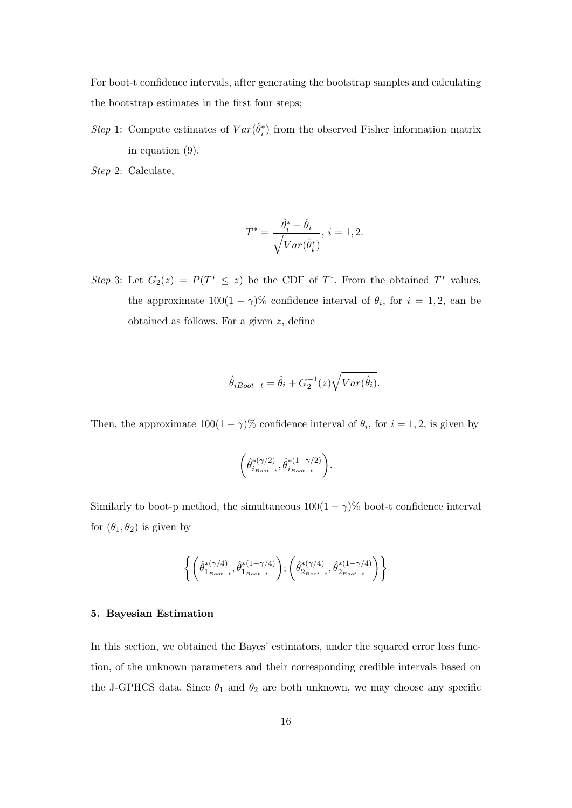For boot-t confidence intervals, after generating the bootstrap samples and calculating the bootstrap estimates in the first four steps;

Step 1: Compute estimates of  $Var(\hat{\theta}_i^*)$  from the observed Fisher information matrix in equation (9).

Step 2: Calculate,

$$
T^* = \frac{\hat{\theta}_i^* - \hat{\theta}_i}{\sqrt{Var(\hat{\theta}_i^*)}}, \ i = 1, 2.
$$

Step 3: Let  $G_2(z) = P(T^* \leq z)$  be the CDF of  $T^*$ . From the obtained  $T^*$  values, the approximate  $100(1 - \gamma)$ % confidence interval of  $\theta_i$ , for  $i = 1, 2$ , can be obtained as follows. For a given z, define

$$
\hat{\theta}_{iBoot-t} = \hat{\theta}_i + G_2^{-1}(z) \sqrt{Var(\hat{\theta}_i)}.
$$

Then, the approximate  $100(1 - \gamma)$ % confidence interval of  $\theta_i$ , for  $i = 1, 2$ , is given by

$$
\left(\hat{\theta}^{*(\gamma/2)}_{i_{Boot-t}}, \hat{\theta}^{*(1-\gamma/2)}_{i_{Boot-t}}\right).
$$

Similarly to boot-p method, the simultaneous  $100(1 - \gamma)\%$  boot-t confidence interval for  $(\theta_1, \theta_2)$  is given by

$$
\left\{ \left( \hat{\theta}_{1_{Boot-t}}^{*(\gamma/4)}, \hat{\theta}_{1_{Boot-t}}^{*(1-\gamma/4)} \right); \left( \hat{\theta}_{2_{Boot-t}}^{*(\gamma/4)}, \hat{\theta}_{2_{Boot-t}}^{*(1-\gamma/4)} \right) \right\}
$$

### 5. Bayesian Estimation

In this section, we obtained the Bayes' estimators, under the squared error loss function, of the unknown parameters and their corresponding credible intervals based on the J-GPHCS data. Since  $\theta_1$  and  $\theta_2$  are both unknown, we may choose any specific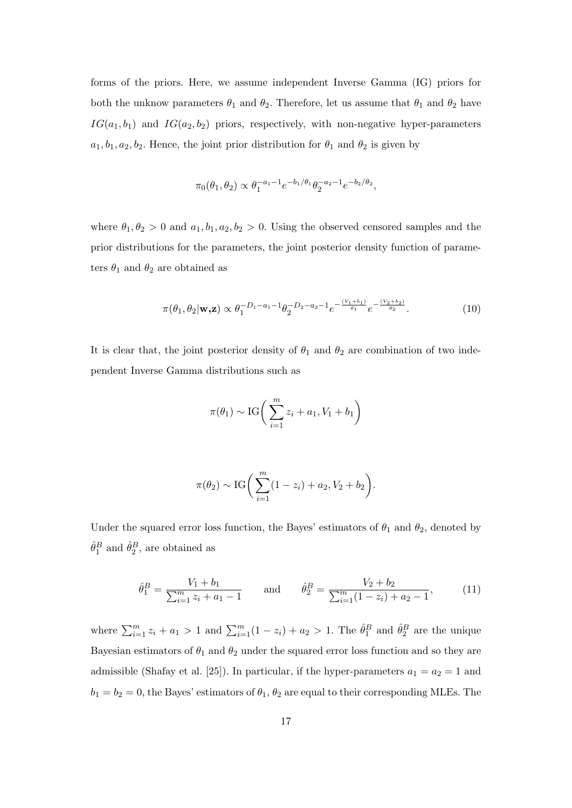forms of the priors. Here, we assume independent Inverse Gamma (IG) priors for both the unknow parameters  $\theta_1$  and  $\theta_2$ . Therefore, let us assume that  $\theta_1$  and  $\theta_2$  have  $IG(a_1, b_1)$  and  $IG(a_2, b_2)$  priors, respectively, with non-negative hyper-parameters  $a_1, b_1, a_2, b_2$ . Hence, the joint prior distribution for  $\theta_1$  and  $\theta_2$  is given by

$$
\pi_0(\theta_1, \theta_2) \propto \theta_1^{-a_1 - 1} e^{-b_1/\theta_1} \theta_2^{-a_2 - 1} e^{-b_2/\theta_2},
$$

where  $\theta_1, \theta_2 > 0$  and  $a_1, b_1, a_2, b_2 > 0$ . Using the observed censored samples and the prior distributions for the parameters, the joint posterior density function of parameters  $\theta_1$  and  $\theta_2$  are obtained as

$$
\pi(\theta_1, \theta_2 | \mathbf{w}, \mathbf{z}) \propto \theta_1^{-D_1 - a_1 - 1} \theta_2^{-D_2 - a_2 - 1} e^{-\frac{(V_1 + b_1)}{\theta_1}} e^{-\frac{(V_2 + b_2)}{\theta_2}}.
$$
\n(10)

It is clear that, the joint posterior density of  $\theta_1$  and  $\theta_2$  are combination of two independent Inverse Gamma distributions such as

$$
\pi(\theta_1) \sim \text{IG}\bigg(\sum_{i=1}^m z_i + a_1, V_1 + b_1\bigg)
$$

$$
\pi(\theta_2) \sim \text{IG}\bigg(\sum_{i=1}^m (1 - z_i) + a_2, V_2 + b_2\bigg).
$$

Under the squared error loss function, the Bayes' estimators of  $\theta_1$  and  $\theta_2$ , denoted by  $\hat{\theta}_1^B$  and  $\hat{\theta}_2^B$ , are obtained as

$$
\hat{\theta}_1^B = \frac{V_1 + b_1}{\sum_{i=1}^m z_i + a_1 - 1} \quad \text{and} \quad \hat{\theta}_2^B = \frac{V_2 + b_2}{\sum_{i=1}^m (1 - z_i) + a_2 - 1}, \quad (11)
$$

where  $\sum_{i=1}^{m} z_i + a_1 > 1$  and  $\sum_{i=1}^{m} (1 - z_i) + a_2 > 1$ . The  $\hat{\theta}_1^B$  and  $\hat{\theta}_2^B$  are the unique Bayesian estimators of  $\theta_1$  and  $\theta_2$  under the squared error loss function and so they are admissible (Shafay et al. [25]). In particular, if the hyper-parameters  $a_1 = a_2 = 1$  and  $b_1 = b_2 = 0$ , the Bayes' estimators of  $\theta_1$ ,  $\theta_2$  are equal to their corresponding MLEs. The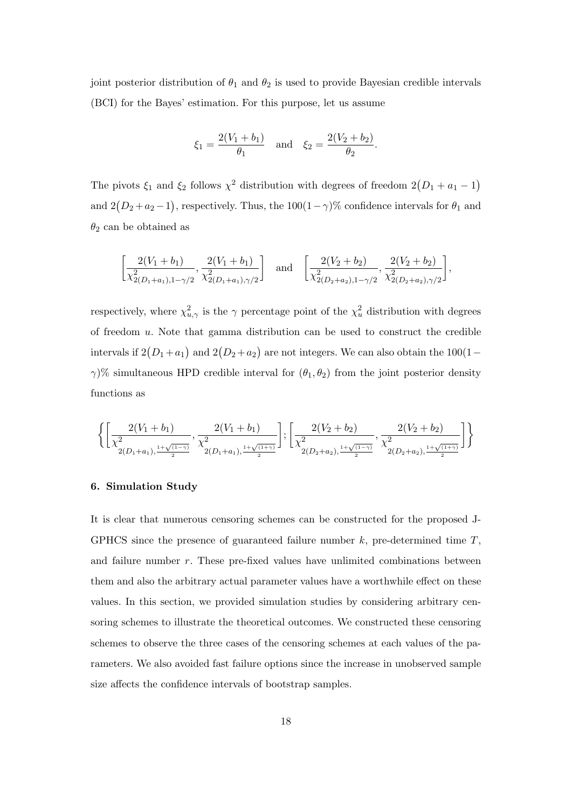joint posterior distribution of  $\theta_1$  and  $\theta_2$  is used to provide Bayesian credible intervals (BCI) for the Bayes' estimation. For this purpose, let us assume

$$
\xi_1 = \frac{2(V_1 + b_1)}{\theta_1}
$$
 and  $\xi_2 = \frac{2(V_2 + b_2)}{\theta_2}$ .

The pivots  $\xi_1$  and  $\xi_2$  follows  $\chi^2$  distribution with degrees of freedom  $2(D_1 + a_1 - 1)$ and  $2(D_2 + a_2 - 1)$ , respectively. Thus, the  $100(1 - \gamma)\%$  confidence intervals for  $\theta_1$  and  $\theta_2$  can be obtained as

$$
\left[\frac{2(V_1+b_1)}{\chi_{2(D_1+a_1),1-\gamma/2}^2},\frac{2(V_1+b_1)}{\chi_{2(D_1+a_1),\gamma/2}^2}\right] \text{ and } \left[\frac{2(V_2+b_2)}{\chi_{2(D_2+a_2),1-\gamma/2}^2},\frac{2(V_2+b_2)}{\chi_{2(D_2+a_2),\gamma/2}^2}\right],
$$

respectively, where  $\chi^2_{u,\gamma}$  is the  $\gamma$  percentage point of the  $\chi^2_u$  distribution with degrees of freedom u. Note that gamma distribution can be used to construct the credible intervals if  $2(D_1 + a_1)$  and  $2(D_2 + a_2)$  are not integers. We can also obtain the  $100(1$  $γ$ <sup>(γ</sup>)% simultaneous HPD credible interval for  $(θ_1, θ_2)$  from the joint posterior density functions as

$$
\left\{ \left[ \frac{2(V_1 + b_1)}{\chi_{2(D_1 + a_1), \frac{1 + \sqrt{(1 - \gamma)}}{2}}^2}, \frac{2(V_1 + b_1)}{\chi_{2(D_1 + a_1), \frac{1 + \sqrt{(1 + \gamma)}}{2}}^2} \right]; \left[ \frac{2(V_2 + b_2)}{\chi_{2(D_2 + a_2), \frac{1 + \sqrt{(1 - \gamma)}}{2}}^2}, \frac{2(V_2 + b_2)}{\chi_{2(D_2 + a_2), \frac{1 + \sqrt{(1 + \gamma)}}{2}}^2} \right] \right\}
$$

# 6. Simulation Study

It is clear that numerous censoring schemes can be constructed for the proposed J-GPHCS since the presence of guaranteed failure number  $k$ , pre-determined time  $T$ , and failure number  $r$ . These pre-fixed values have unlimited combinations between them and also the arbitrary actual parameter values have a worthwhile effect on these values. In this section, we provided simulation studies by considering arbitrary censoring schemes to illustrate the theoretical outcomes. We constructed these censoring schemes to observe the three cases of the censoring schemes at each values of the parameters. We also avoided fast failure options since the increase in unobserved sample size affects the confidence intervals of bootstrap samples.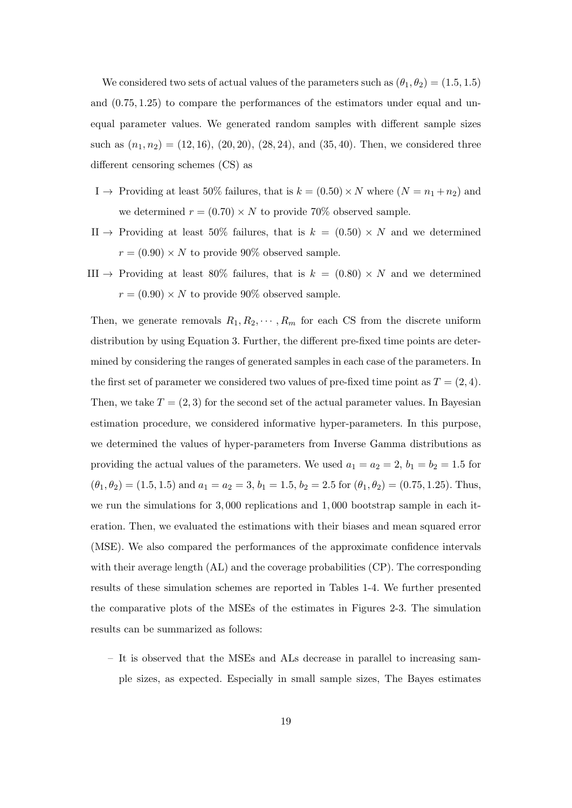We considered two sets of actual values of the parameters such as  $(\theta_1, \theta_2) = (1.5, 1.5)$ and (0.75, 1.25) to compare the performances of the estimators under equal and unequal parameter values. We generated random samples with different sample sizes such as  $(n_1, n_2) = (12, 16), (20, 20), (28, 24),$  and  $(35, 40)$ . Then, we considered three different censoring schemes (CS) as

- I  $\rightarrow$  Providing at least 50% failures, that is  $k = (0.50) \times N$  where  $(N = n_1 + n_2)$  and we determined  $r = (0.70) \times N$  to provide 70% observed sample.
- II  $\rightarrow$  Providing at least 50% failures, that is  $k = (0.50) \times N$  and we determined  $r = (0.90) \times N$  to provide 90% observed sample.
- III  $\rightarrow$  Providing at least 80% failures, that is  $k = (0.80) \times N$  and we determined  $r = (0.90) \times N$  to provide 90% observed sample.

Then, we generate removals  $R_1, R_2, \cdots, R_m$  for each CS from the discrete uniform distribution by using Equation 3. Further, the different pre-fixed time points are determined by considering the ranges of generated samples in each case of the parameters. In the first set of parameter we considered two values of pre-fixed time point as  $T = (2, 4)$ . Then, we take  $T = (2, 3)$  for the second set of the actual parameter values. In Bayesian estimation procedure, we considered informative hyper-parameters. In this purpose, we determined the values of hyper-parameters from Inverse Gamma distributions as providing the actual values of the parameters. We used  $a_1 = a_2 = 2$ ,  $b_1 = b_2 = 1.5$  for  $(\theta_1, \theta_2) = (1.5, 1.5)$  and  $a_1 = a_2 = 3$ ,  $b_1 = 1.5$ ,  $b_2 = 2.5$  for  $(\theta_1, \theta_2) = (0.75, 1.25)$ . Thus, we run the simulations for 3, 000 replications and 1, 000 bootstrap sample in each iteration. Then, we evaluated the estimations with their biases and mean squared error (MSE). We also compared the performances of the approximate confidence intervals with their average length (AL) and the coverage probabilities (CP). The corresponding results of these simulation schemes are reported in Tables 1-4. We further presented the comparative plots of the MSEs of the estimates in Figures 2-3. The simulation results can be summarized as follows:

– It is observed that the MSEs and ALs decrease in parallel to increasing sample sizes, as expected. Especially in small sample sizes, The Bayes estimates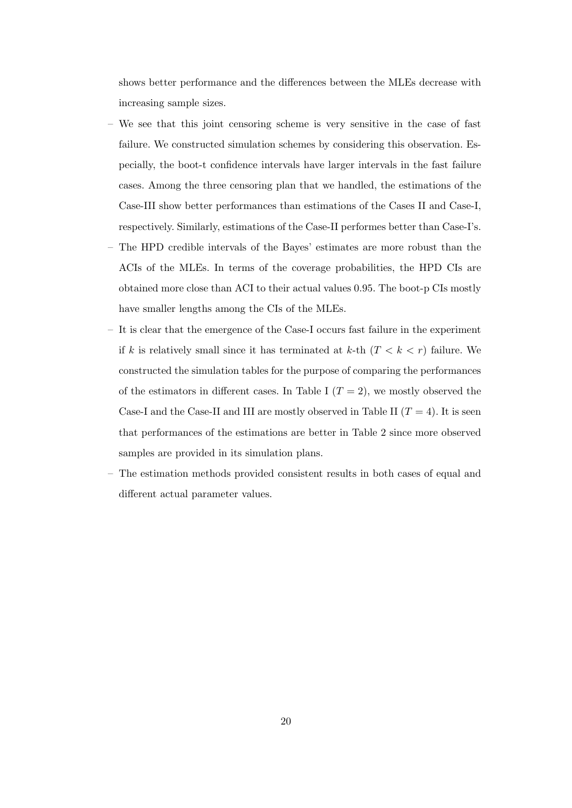shows better performance and the differences between the MLEs decrease with increasing sample sizes.

- We see that this joint censoring scheme is very sensitive in the case of fast failure. We constructed simulation schemes by considering this observation. Especially, the boot-t confidence intervals have larger intervals in the fast failure cases. Among the three censoring plan that we handled, the estimations of the Case-III show better performances than estimations of the Cases II and Case-I, respectively. Similarly, estimations of the Case-II performes better than Case-I's.
- The HPD credible intervals of the Bayes' estimates are more robust than the ACIs of the MLEs. In terms of the coverage probabilities, the HPD CIs are obtained more close than ACI to their actual values 0.95. The boot-p CIs mostly have smaller lengths among the CIs of the MLEs.
- It is clear that the emergence of the Case-I occurs fast failure in the experiment if k is relatively small since it has terminated at k-th  $(T < k < r)$  failure. We constructed the simulation tables for the purpose of comparing the performances of the estimators in different cases. In Table I  $(T = 2)$ , we mostly observed the Case-I and the Case-II and III are mostly observed in Table II  $(T = 4)$ . It is seen that performances of the estimations are better in Table 2 since more observed samples are provided in its simulation plans.
- The estimation methods provided consistent results in both cases of equal and different actual parameter values.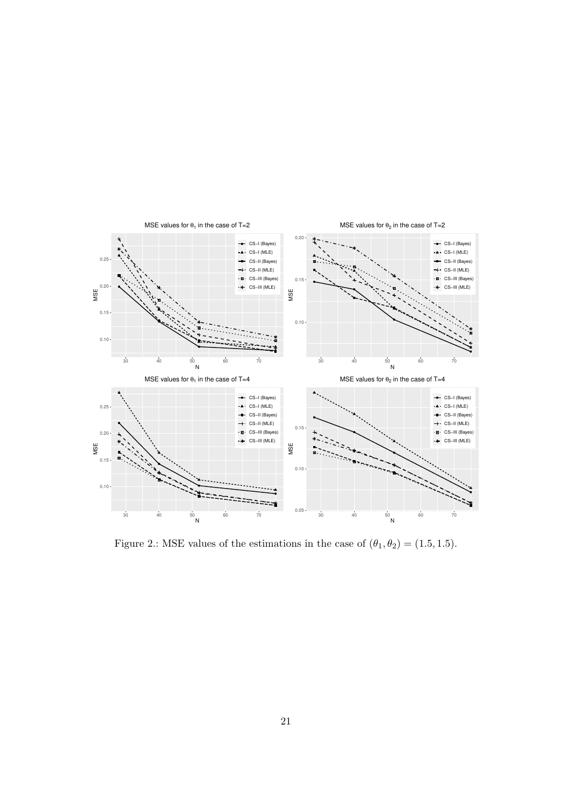

Figure 2.: MSE values of the estimations in the case of  $(\theta_1, \theta_2) = (1.5, 1.5)$ .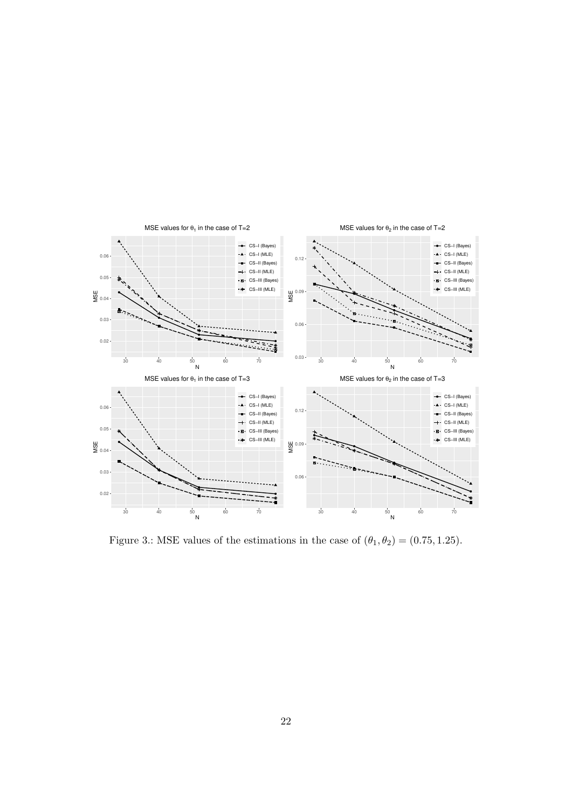

Figure 3.: MSE values of the estimations in the case of  $(\theta_1, \theta_2) = (0.75, 1.25)$ .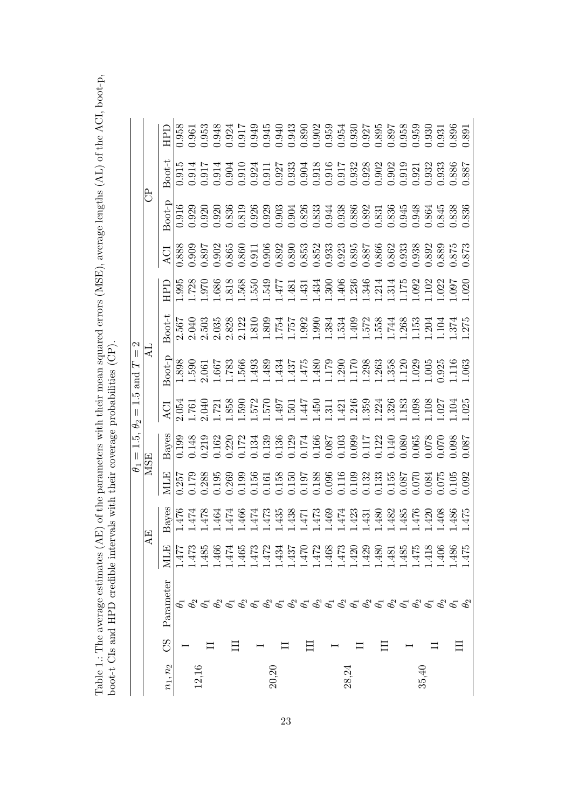Table 1.: The average estimates (AE) of the parameters with their mean squared errors (MSE), average lengths (AL) of the ACI, boot-p, boot-t CIs and HPD credible intervals with their coverage probabilities (CP). Table 1.: The average estimates (AE) of the parameters with their mean squared errors (MSE), average lengths (AL) of the ACI, boot-p, boot-t CIs and HPD credible intervals with their coverage probabilities (CP).

|                                            |     | FРD         | 0.958         | 1.961 | 0.53  | 0.948            | 0.924                                                                                                                                                                                                                                                                                               |       |       | 1.917<br>0.945<br>0.945 |       |       |       | 0.943<br>0.943 0.035 10.035 10.035 10.035<br>0.035 10.035 10.035 10.035<br>0.035 10.035 10.035 10.04                                                                                                                                                                                              |       |                                                                                   |       |            |       |                |       |                               |                                  | 0.931 | 0.896                   |            |
|--------------------------------------------|-----|-------------|---------------|-------|-------|------------------|-----------------------------------------------------------------------------------------------------------------------------------------------------------------------------------------------------------------------------------------------------------------------------------------------------|-------|-------|-------------------------|-------|-------|-------|---------------------------------------------------------------------------------------------------------------------------------------------------------------------------------------------------------------------------------------------------------------------------------------------------|-------|-----------------------------------------------------------------------------------|-------|------------|-------|----------------|-------|-------------------------------|----------------------------------|-------|-------------------------|------------|
|                                            |     | Boot-t      | $\frac{1}{2}$ | 0.914 |       | 0.914            | 0.904                                                                                                                                                                                                                                                                                               | 0.91( | 0.924 | 0.91                    | 0.927 | 0.333 | 0.904 | 0.918                                                                                                                                                                                                                                                                                             |       | $\begin{array}{l} 0.916 \\ 0.917 \\ 0.932 \\ 0.928 \\ 0.902 \\ 0.902 \end{array}$ |       |            |       |                | 0.919 |                               | 1.921<br>1.932                   | 0.933 | 388.<br>388.<br>387     |            |
|                                            | පි  | soot-p      | 0.916         | 0.929 | 0.920 |                  | 0.920<br>0.836                                                                                                                                                                                                                                                                                      | 0.819 |       | 0.926<br>0.929          |       |       |       | 0.903<br>0.90438888<br>0.82633388882<br>0.832388882<br>0.832                                                                                                                                                                                                                                      |       |                                                                                   |       |            |       |                | 0.945 | 0.948                         | 1.864                            |       | 0.845<br>0.838<br>0.836 |            |
|                                            |     | ACI         | 0.888         | 0.909 |       |                  | 0.897<br>0.902<br>0.865                                                                                                                                                                                                                                                                             |       |       |                         |       |       |       |                                                                                                                                                                                                                                                                                                   |       |                                                                                   |       |            |       |                |       |                               |                                  |       | 3889<br>3875<br>373.    |            |
|                                            |     | <b>CLEE</b> | .995          | .728  |       |                  |                                                                                                                                                                                                                                                                                                     |       |       |                         |       |       |       |                                                                                                                                                                                                                                                                                                   |       |                                                                                   |       |            |       |                |       | $0.092$<br>$0.023$<br>$0.097$ |                                  |       |                         | .020       |
| 2                                          |     | Boot-t      | .567          | 2.040 | 2.503 |                  |                                                                                                                                                                                                                                                                                                     |       |       |                         |       |       |       |                                                                                                                                                                                                                                                                                                   |       |                                                                                   |       |            |       |                |       |                               |                                  |       |                         |            |
| $\left\vert {}\right\vert$<br>and $T$      |     | $3$ oot-p   | 1.898         | .590  | .061  | 199.             | $.783$<br>566                                                                                                                                                                                                                                                                                       |       | .493  | .489                    | .434  |       |       | $\begin{array}{l} 1.437 \\ 1.475 \\ 1.179 \\ 1.179 \\ 1.179 \\ 1.290 \\ 1.203 \\ 1.363 \\ 1.358 \\ 1.358 \\ 1.005 \\ 1.1063 \\ 1.103 \\ 1.103 \\ 1.103 \\ 1.103 \\ 1.103 \\ 1.103 \\ 1.103 \\ 1.103 \\ 1.103 \\ 1.103 \\ 1.103 \\ 1.103 \\ 1.1163 \\ 1.1163 \\ 1.1163 \\ 1.1163 \\ 1.1163 \\ 1.1$ |       |                                                                                   |       |            |       |                |       |                               |                                  |       |                         |            |
| $\frac{5}{1}$<br>$\parallel$<br>$\theta_2$ |     | ă           | .054          | .761  | .040  |                  | $.721$<br>$.858$                                                                                                                                                                                                                                                                                    |       |       |                         |       |       |       |                                                                                                                                                                                                                                                                                                   |       |                                                                                   |       |            |       |                |       |                               | 1098<br>801.<br>1027             |       | 10 <sub>4</sub>         | 025        |
| $1.5,$<br>$\vert\vert$                     |     | Bayes       | 0.190         | 0.148 | 0.219 | 0.162            | $0.220$<br>$0.172$                                                                                                                                                                                                                                                                                  |       |       | 1.34<br>1.139           |       |       |       | 36<br>0.129<br>0.174<br>0.166<br>0.1037<br>0.122<br>0.140                                                                                                                                                                                                                                         |       |                                                                                   |       |            |       |                | 080.  |                               | 780.05<br>070.078<br>000.070.088 |       |                         |            |
| $\phi$                                     | MSE | MLE         |               |       |       |                  | $\begin{array}{c} 0.257 \\ 1.79 \\ 0.178 \\ 0.38 \\ 0.195 \\ 0.199 \\ 0.199 \\ 0.199 \\ 0.199 \\ 0.199 \\ 0.199 \\ 0.199 \\ 0.199 \\ 0.199 \\ 0.199 \\ 0.199 \\ 0.199 \\ 0.199 \\ 0.199 \\ 0.199 \\ 0.199 \\ 0.199 \\ 0.199 \\ 0.199 \\ 0.199 \\ 0.199 \\ 0.199 \\ 0.199 \\ 0.199 \\ 0.199 \\ 0.19$ |       |       |                         |       |       |       | 1.156<br>1.161<br>1.158<br>1.197<br>1.109<br>1.132<br>1.132                                                                                                                                                                                                                                       |       |                                                                                   |       |            |       | 1.133<br>1.155 | 0.087 |                               | 1.070<br>1.084<br>1.075          |       | 0.105                   | 0.092      |
|                                            |     | Bayes       | 476           | .474  | 478   | .464             | 474                                                                                                                                                                                                                                                                                                 | 466   | 474   | .473                    | .435  | .438  |       | 1.473<br>1.473                                                                                                                                                                                                                                                                                    | 1.469 | L474<br>L423                                                                      |       | $\cdot$ 43 | .480  | .482           | .485  | .476                          | .42 <sub>0</sub>                 | 408   | .486                    | 325        |
|                                            | AE  | ⊠           | 1Ŧ.           | 1.473 | $-48$ | $\widetilde{96}$ | 47.                                                                                                                                                                                                                                                                                                 | 1.46  | 1473  | 1.472                   | 1.434 | 1.437 | 1.47  | 1.472                                                                                                                                                                                                                                                                                             | 1.468 | 1.473                                                                             | 1.42  | 1.429      | 1.480 | 1.48           | 1.485 | $-47$                         | 1.41                             | 1.406 | .486                    | 'nЭ<br>47. |
|                                            |     | Parameter   |               |       |       |                  |                                                                                                                                                                                                                                                                                                     |       |       |                         |       |       |       |                                                                                                                                                                                                                                                                                                   |       |                                                                                   |       |            |       |                |       |                               |                                  |       |                         |            |
|                                            |     | SS          |               |       |       |                  |                                                                                                                                                                                                                                                                                                     |       |       |                         |       |       |       |                                                                                                                                                                                                                                                                                                   |       |                                                                                   |       |            |       |                |       |                               |                                  |       |                         |            |
|                                            |     | $n_1, n_2$  |               |       |       |                  |                                                                                                                                                                                                                                                                                                     |       |       |                         | 20,20 |       |       |                                                                                                                                                                                                                                                                                                   |       |                                                                                   | 28,24 |            |       |                |       |                               | 35,40                            |       |                         |            |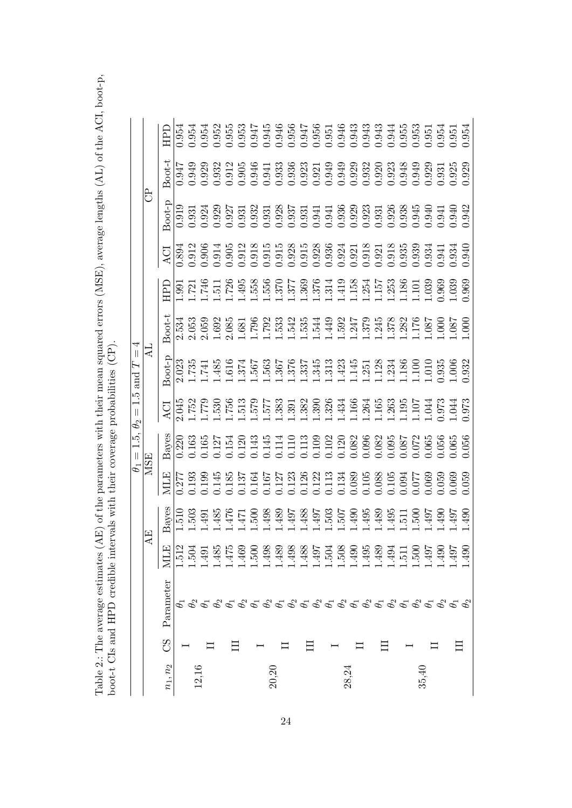Table 2.: The average estimates (AE) of the parameters with their mean squared errors (MSE), average lengths (AL) of the ACI, boot-p, boot-t CIs and HPD credible intervals with their coverage probabilities (CP). Table 2.: The average estimates (AE) of the parameters with their mean squared errors (MSE), average lengths (AL) of the ACI, boot-p, boot-t CIs and HPD credible intervals with their coverage probabilities (CP).

|                            |     | НPГ        | 0.954         | 1.954             |            | 0.954<br>0.952<br>0.955 |                                                                                                                                                                                                                                                                                                     |       | 0.953<br>0.947<br>0.945 |                                                                                                                                                                                                     |       |       |       |                          |       |       |       |       |       |       |                 | 946<br>0.956 0.943<br>0.956 0.943 344<br>0.956 0.943 344<br>0.956 0.958 358 358                                                                                                                                                                                                                     |       | 0.954<br>0.951<br>0.954 |                |                 |
|----------------------------|-----|------------|---------------|-------------------|------------|-------------------------|-----------------------------------------------------------------------------------------------------------------------------------------------------------------------------------------------------------------------------------------------------------------------------------------------------|-------|-------------------------|-----------------------------------------------------------------------------------------------------------------------------------------------------------------------------------------------------|-------|-------|-------|--------------------------|-------|-------|-------|-------|-------|-------|-----------------|-----------------------------------------------------------------------------------------------------------------------------------------------------------------------------------------------------------------------------------------------------------------------------------------------------|-------|-------------------------|----------------|-----------------|
|                            |     | $3$ oot-t  | 0.947         | 0.949             | 0.925      | 0.932                   | 0.912                                                                                                                                                                                                                                                                                               | 0.905 | 0.946                   | 0.941                                                                                                                                                                                               | 0.933 |       |       |                          |       |       |       |       |       |       |                 |                                                                                                                                                                                                                                                                                                     |       | $0.931$<br>$0.925$      |                | 0.925           |
|                            | ಕಿ  | Boot-p     | 0.919         | 0.931             |            | 0.924<br>0.929<br>0.927 |                                                                                                                                                                                                                                                                                                     |       | 0.931<br>0.932<br>0.931 |                                                                                                                                                                                                     |       |       |       |                          |       |       |       |       |       |       |                 | $\begin{array}{l} 0.928 \\ 0.937 \\ 0.937 \\ 0.941 \\ 0.941 \\ 0.939 \\ 0.930 \\ 0.933 \\ 0.933 \\ 0.938 \\ 0.939 \\ 0.949 \\ 0.941 \\ 0.941 \\ 0.949 \\ 0.949 \\ 0.949 \\ 0.949 \\ 0.949 \\ 0.949 \\ 0.949 \\ 0.949 \\ 0.949 \\ 0.949 \\ 0.949 \\ 0.949 \\ 0.949 \\ 0.949 \\ 0.949 \\ 0.949 \\ 0.$ |       | 1.941                   | 0.940          |                 |
|                            |     | ACI        | 0.894         | .912              | 1.906      | 0.914<br>0.905          |                                                                                                                                                                                                                                                                                                     |       | 0.912<br>0.918<br>0.915 |                                                                                                                                                                                                     |       |       |       |                          |       |       |       |       |       |       |                 |                                                                                                                                                                                                                                                                                                     |       |                         |                |                 |
|                            |     | НPD        | $\frac{1}{2}$ | $.721$ .<br>$746$ |            |                         | $\begin{array}{l} 1.511 \\ 1.726 \\ 1.415 \\ 1.415 \\ 1.426 \\ 1.437 \\ 1.458 \\ 1.459 \\ 1.459 \\ 1.459 \\ 1.459 \\ 1.459 \\ 1.459 \\ 1.459 \\ 1.459 \\ 1.459 \\ 1.459 \\ 1.459 \\ 1.459 \\ 1.459 \\ 1.459 \\ 1.459 \\ 1.459 \\ 1.459 \\ 1.459 \\ 1.459 \\ 1.459 \\ 1.459 \\ 1.459 \\ 1.459 \\ 1.$ |       |                         |                                                                                                                                                                                                     |       |       |       |                          |       |       |       |       |       |       |                 |                                                                                                                                                                                                                                                                                                     |       |                         |                |                 |
|                            |     | $3$ oot-t  | 2.534         | 053               |            | 2.059<br>1.692<br>2.085 |                                                                                                                                                                                                                                                                                                     |       |                         | $1.681\n1.798\n1.533\n1.549\n1.551\n1.561\n1.572\n1.573\n1.573\n1.573\n1.575\n1.576\n1.577\n1.578\n1.576\n1.577\n1.578\n1.578\n1.578\n1.578\n1.578\n1.578\n1.578\n1.578\n1.578\n1.578\n1.578\n1.57$ |       |       |       |                          |       |       |       |       |       |       |                 |                                                                                                                                                                                                                                                                                                     |       |                         |                | $\overline{0}0$ |
| $\parallel$<br>1.5 and $T$ | ₹   | $3-100$    | 2.023         | .735              | $E1$       | .485                    | .616                                                                                                                                                                                                                                                                                                | .374  | 563.<br>795.            |                                                                                                                                                                                                     |       |       |       |                          |       |       |       |       |       |       |                 |                                                                                                                                                                                                                                                                                                     |       |                         |                |                 |
| $\vert\vert$<br>$\theta_2$ |     | ζ          | .045          | .752              | 342.       |                         |                                                                                                                                                                                                                                                                                                     |       |                         |                                                                                                                                                                                                     |       |       |       |                          |       |       |       |       |       |       |                 |                                                                                                                                                                                                                                                                                                     |       | .973                    | .044           | .973            |
| 1.5,<br>$\mid \mid$        |     | Bayes      | 0.220         | 0.163             | 0.165      | $0.127$<br>$0.154$      |                                                                                                                                                                                                                                                                                                     |       | 120<br>143<br>145       |                                                                                                                                                                                                     |       |       |       |                          |       |       |       |       |       |       |                 | $\begin{array}{l} 1.114 \\ 1.110 \\ 1.113 \\ 1.119 \\ 1.110 \\ 1.110 \\ 1.110 \\ 1.110 \\ 1.110 \\ 1.110 \\ 1.110 \\ 1.110 \\ 1.100 \\ 1.100 \\ 1.100 \\ 1.100 \\ 1.100 \\ 1.100 \\ 1.100 \\ 1.100 \\ 1.100 \\ 1.100 \\ 1.100 \\ 1.100 \\ 1.100 \\ 1.100 \\ 1.100 \\ 1.100 \\ 1.100 \\ 1.100 \\ 1.$ |       | 0.056                   | 0.065<br>0.056 |                 |
| $\theta_1$                 | MSE | ЛЩ         | 0.277         | 0.193             | 0.199      | 1.145<br>0.185          |                                                                                                                                                                                                                                                                                                     |       | 137<br>164<br>167       |                                                                                                                                                                                                     |       |       |       |                          |       |       |       |       |       |       |                 |                                                                                                                                                                                                                                                                                                     |       | 050.                    | 0.069<br>0.059 |                 |
|                            |     | Bayes      | $\frac{1}{2}$ | .503              | $-49$      | .485                    | .476                                                                                                                                                                                                                                                                                                | 47    | 50(                     | 498                                                                                                                                                                                                 | .489  | -497  | .488  | $7.63$<br>$503$<br>$793$ |       |       | 065.  |       | .489  | .495  | $\frac{5}{150}$ |                                                                                                                                                                                                                                                                                                     | $-49$ | $-490$                  | $-49$          | $-490$          |
|                            | AE  | МĿ         | 1.512         | 1.504             | $\ddot{9}$ | 1.485                   | $-47$                                                                                                                                                                                                                                                                                               | 1.469 | $\overline{50}$         | 1.498                                                                                                                                                                                               | 1.489 | 1.498 | 1.488 | 1.497                    | 1.504 | 1.508 | 1.490 | 1.495 | 1.489 | 1.494 | 1.51            | $-500$                                                                                                                                                                                                                                                                                              | 1.497 | 1.490                   | -197           | $-49$           |
|                            |     | Parameter  |               |                   |            |                         |                                                                                                                                                                                                                                                                                                     |       |                         |                                                                                                                                                                                                     |       |       |       |                          |       |       |       |       |       |       |                 |                                                                                                                                                                                                                                                                                                     |       |                         |                |                 |
|                            |     | 85         |               |                   |            |                         |                                                                                                                                                                                                                                                                                                     |       |                         |                                                                                                                                                                                                     |       |       |       |                          |       |       |       |       |       |       |                 |                                                                                                                                                                                                                                                                                                     |       |                         |                |                 |
|                            |     | $n_1, n_2$ |               |                   |            |                         |                                                                                                                                                                                                                                                                                                     |       |                         | 20,20                                                                                                                                                                                               |       |       |       |                          |       | 28,24 |       |       |       |       |                 |                                                                                                                                                                                                                                                                                                     | 35,40 |                         |                |                 |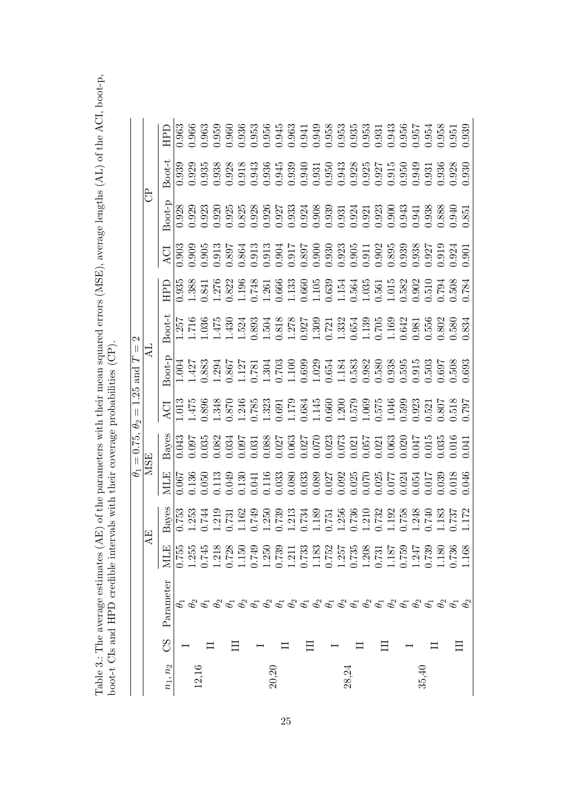Table 3.: The average estimates (AE) of the parameters with their mean squared errors (MSE), average lengths (AL) of the ACI, boot-p, boot-t CIs and HPD credible intervals with their coverage probabilities (CP). Table 3.: The average estimates (AE) of the parameters with their mean squared errors (MSE), average lengths (AL) of the ACI, boot-p, boot-t CIs and HPD credible intervals with their coverage probabilities (CP).

|                                                             |                 | Boot-t    | 0.939   | 0.929          |       |                                  | 1.935<br>1.938<br>1.918<br>0.943<br>0.936                                                                                                                                                                                                                                                   |       |       |                                                                                                                                                                                                                                                                                         |                      |      | $\begin{array}{cccc} 0.945 & 0.949 & 0.949 & 0.949 & 0.949 & 0.949 & 0.949 & 0.949 & 0.949 & 0.949 & 0.949 & 0.949 & 0.949 & 0.949 & 0.949 & 0.949 & 0.949 & 0.949 & 0.949 & 0.949 & 0.949 & 0.949 & 0.949 & 0.949 & 0.949 & 0.949 & 0.949 & 0.949 & 0.949 & 0.949 & 0.$ |       |       |                                                                                            |       |       |       |       |       |                      |       | 0.936<br>0.938<br>0.930 |                  |       |
|-------------------------------------------------------------|-----------------|-----------|---------|----------------|-------|----------------------------------|---------------------------------------------------------------------------------------------------------------------------------------------------------------------------------------------------------------------------------------------------------------------------------------------|-------|-------|-----------------------------------------------------------------------------------------------------------------------------------------------------------------------------------------------------------------------------------------------------------------------------------------|----------------------|------|--------------------------------------------------------------------------------------------------------------------------------------------------------------------------------------------------------------------------------------------------------------------------|-------|-------|--------------------------------------------------------------------------------------------|-------|-------|-------|-------|-------|----------------------|-------|-------------------------|------------------|-------|
|                                                             | සි              | $3$ oot-p | 0.928   | 0.929          |       |                                  | 0.923<br>0.925<br>0.925                                                                                                                                                                                                                                                                     |       |       |                                                                                                                                                                                                                                                                                         |                      |      |                                                                                                                                                                                                                                                                          |       |       |                                                                                            |       |       |       |       |       |                      |       |                         |                  |       |
|                                                             |                 | ACI       | 0.903   | 0.909          |       |                                  |                                                                                                                                                                                                                                                                                             |       |       |                                                                                                                                                                                                                                                                                         |                      |      |                                                                                                                                                                                                                                                                          |       |       |                                                                                            |       |       |       |       |       |                      |       |                         |                  | 0.901 |
|                                                             |                 | 日<br>田    |         |                |       |                                  | $\begin{array}{cccccccc} 0.938 & 0.84 & 0.84 & 0.84 & 0.84 & 0.84 & 0.84 & 0.84 & 0.84 & 0.84 & 0.84 & 0.84 & 0.84 & 0.84 & 0.84 & 0.84 & 0.84 & 0.84 & 0.84 & 0.84 & 0.84 & 0.84 & 0.84 & 0.84 & 0.84 & 0.84 & 0.84 & 0.84 & 0.84 & 0.84 & 0.84 & 0.84 & 0.84 & 0.84 & 0.84 & $            |       |       |                                                                                                                                                                                                                                                                                         |                      |      |                                                                                                                                                                                                                                                                          |       |       |                                                                                            |       |       |       |       |       |                      |       |                         |                  |       |
| $\mathbf{c}$                                                |                 | Boot-t    |         |                |       | $\frac{1}{1716}$<br>360.<br>475. | $\begin{array}{l} 1.4303 \\ 1.5233 \\ 1.6363 \\ 1.6463 \\ 1.6504 \\ 1.6504 \\ 1.6504 \\ 1.6504 \\ 1.6504 \\ 1.6504 \\ 1.6504 \\ 1.6504 \\ 1.6504 \\ 1.6504 \\ 1.6504 \\ 1.6504 \\ 1.6504 \\ 1.6504 \\ 1.6504 \\ 1.6504 \\ 1.6504 \\ 1.6504 \\ 1.6504 \\ 1.6504 \\ 1.6504 \\ 1.6504 \\ 1.65$ |       |       |                                                                                                                                                                                                                                                                                         |                      |      |                                                                                                                                                                                                                                                                          |       |       |                                                                                            |       |       |       |       |       |                      |       |                         |                  |       |
| $\mathbb I$<br>and $T$                                      | ₹               | ioot-p    | $-00.1$ |                |       |                                  | $1.427$<br>$1.883$<br>$1.367$<br>$1.867$                                                                                                                                                                                                                                                    |       |       | $\begin{array}{l} 1.127 \\ 1.781 \\ 1.699 \\ 1.1000 \\ 1.11000 \\ 1.11000 \\ 1.11000 \\ 1.11000 \\ 1.11000 \\ 1.11000 \\ 1.11000 \\ 1.11000 \\ 1.11000 \\ 1.11000 \\ 1.11000 \\ 1.11000 \\ 1.11000 \\ 1.11000 \\ 1.11000 \\ 1.11000 \\ 1.11000 \\ 1.11000 \\ 1.11000 \\ 1.11000 \\ 1.1$ |                      |      |                                                                                                                                                                                                                                                                          |       |       |                                                                                            |       |       |       |       |       |                      |       |                         |                  |       |
| 1.25<br>$\begin{array}{c} \hline \end{array}$<br>$\theta_2$ |                 | ACI       |         | .475           |       |                                  |                                                                                                                                                                                                                                                                                             |       |       |                                                                                                                                                                                                                                                                                         |                      |      |                                                                                                                                                                                                                                                                          |       |       |                                                                                            |       |       |       |       |       |                      |       |                         |                  |       |
| $= 0.75,$                                                   |                 | Bayes     | 0.043   | 0.097          |       |                                  | $0.035$<br>$0.082$<br>$0.034$                                                                                                                                                                                                                                                               |       |       | 0.097<br>0.0327 0.027 0.027 0.033<br>0.027 0.027 0.033 0.034 0.035 0.037<br>0.030 0.030 0.030 0.030 0.030 0.041                                                                                                                                                                         |                      |      |                                                                                                                                                                                                                                                                          |       |       |                                                                                            |       |       |       |       |       |                      |       |                         |                  |       |
| $\theta_1$                                                  | <b>MSE</b>      | ДП        | 0.067   |                |       |                                  | $\begin{array}{l} 1.36 \\ 1.050 \\ 1.130 \\ 1.130 \\ 1.049 \\ 1.130 \\ 1.140 \\ 1.160 \\ 1.033 \\ 1.030 \\ 1.030 \\ 1.033 \\ 1.033 \\ 1.033 \\ 1.033 \\ 1.033 \\ \end{array}$                                                                                                               |       |       |                                                                                                                                                                                                                                                                                         |                      |      |                                                                                                                                                                                                                                                                          |       |       | 0.089<br>0.027<br>0.0200.025<br>0.025<br>0.025<br>0.017                                    |       |       |       |       |       |                      |       | 039                     | 0.018<br>0.046   |       |
|                                                             | $\overline{AB}$ | Bayes     |         | 0.753<br>1.253 | E     |                                  | $.731$<br>$.731$<br>$.162$<br>$.749$<br>$.350$                                                                                                                                                                                                                                              |       |       |                                                                                                                                                                                                                                                                                         | 1733<br>1734<br>1734 |      |                                                                                                                                                                                                                                                                          |       |       | $\begin{array}{c} 1.189 \\ 0.751 \\ 1.256 \\ 0.736 \\ 0.732 \\ 1.192 \\ 1.192 \end{array}$ |       |       |       |       |       | 1758<br>04740<br>183 |       |                         | 172 <sup>7</sup> |       |
|                                                             |                 | MLE       | 0.755   | 1.255          | 0.745 | 1.218                            | 0.728                                                                                                                                                                                                                                                                                       | 1.150 | 0.749 | 1.250                                                                                                                                                                                                                                                                                   | 0.739                | 1.21 | 0.733                                                                                                                                                                                                                                                                    | 1.183 | 0.752 | 1.257                                                                                      | 0.735 | 1.208 | 0.731 | 1.187 | 0.759 | 1.247                | 0.739 | 1.180                   | 0.736            | 1.168 |
|                                                             |                 | Parameter |         |                |       |                                  |                                                                                                                                                                                                                                                                                             |       |       |                                                                                                                                                                                                                                                                                         |                      |      |                                                                                                                                                                                                                                                                          |       |       |                                                                                            |       |       |       |       |       |                      |       |                         |                  |       |
|                                                             |                 | 85        |         |                |       |                                  |                                                                                                                                                                                                                                                                                             |       |       |                                                                                                                                                                                                                                                                                         |                      |      |                                                                                                                                                                                                                                                                          |       |       |                                                                                            |       |       |       |       |       |                      |       |                         |                  |       |
|                                                             |                 | $n_1,n_2$ |         |                |       |                                  |                                                                                                                                                                                                                                                                                             |       |       |                                                                                                                                                                                                                                                                                         | 20,20                |      |                                                                                                                                                                                                                                                                          |       |       |                                                                                            | 28,24 |       |       |       |       |                      | 35,40 |                         |                  |       |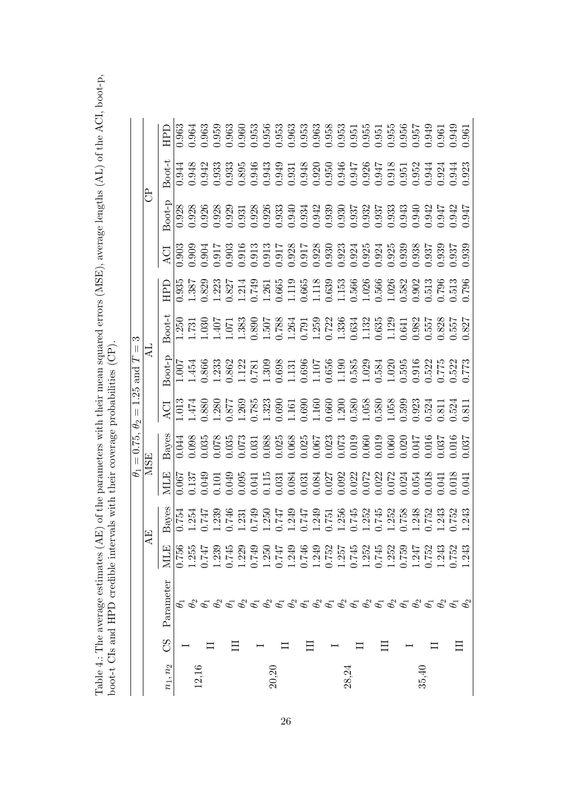Table 4.: The average estimates (AE) of the parameters with their mean squared errors (MSE), average lengths (AL) of the ACI, boot-p, boot-t CIs and HPD credible intervals with their coverage probabilities (CP). Table 4.: The average estimates (AE) of the parameters with their mean squared errors (MSE), average lengths (AL) of the ACI, boot-p, boot-t CIs and HPD credible intervals with their coverage probabilities (CP).

|                                                                                                                                                                                         |  |                         | $= 0.75,$  | $\label{eq:1} \prod_{i=1}^n \left\{ \prod_{i=1}^n \frac{1}{n_i} \right\}$<br>$\theta_2$                                                                                                                                                                                                                     | $1.25$ and $T$                                                                                                                                                                                                                                                                                      | ೧.<br>$\mathbb I$                                                                                                                                                                                                                                                                                |    |                   |                   |                         |   |
|-----------------------------------------------------------------------------------------------------------------------------------------------------------------------------------------|--|-------------------------|------------|-------------------------------------------------------------------------------------------------------------------------------------------------------------------------------------------------------------------------------------------------------------------------------------------------------------|-----------------------------------------------------------------------------------------------------------------------------------------------------------------------------------------------------------------------------------------------------------------------------------------------------|--------------------------------------------------------------------------------------------------------------------------------------------------------------------------------------------------------------------------------------------------------------------------------------------------|----|-------------------|-------------------|-------------------------|---|
| AE                                                                                                                                                                                      |  |                         | <b>MSE</b> |                                                                                                                                                                                                                                                                                                             |                                                                                                                                                                                                                                                                                                     |                                                                                                                                                                                                                                                                                                  |    |                   |                   | සි                      |   |
| Bayes<br>MLE<br>Parameter                                                                                                                                                               |  | ЯПИ                     | Bayes      | <b>ACI</b>                                                                                                                                                                                                                                                                                                  | $\cot$ -D                                                                                                                                                                                                                                                                                           | $3$ oot-t                                                                                                                                                                                                                                                                                        | ПE | ACI               | $3oot-p$          | $3$ oot-t               | П |
| 0.756                                                                                                                                                                                   |  |                         | 0.044      | $\overline{0}13$                                                                                                                                                                                                                                                                                            |                                                                                                                                                                                                                                                                                                     | $\frac{250}{731}$                                                                                                                                                                                                                                                                                |    | $\frac{1}{0.903}$ | $\frac{1}{0.928}$ | 0.944                   |   |
| $0.754$<br>$.254$<br>1.255                                                                                                                                                              |  | 0.067<br>137            | 0.098      | .474                                                                                                                                                                                                                                                                                                        | .454                                                                                                                                                                                                                                                                                                |                                                                                                                                                                                                                                                                                                  |    |                   |                   | 0.948                   |   |
| 147<br>0.747                                                                                                                                                                            |  |                         |            |                                                                                                                                                                                                                                                                                                             |                                                                                                                                                                                                                                                                                                     | .03(                                                                                                                                                                                                                                                                                             |    |                   |                   | 0.942                   |   |
| $.239$<br>$-746$<br>1.239                                                                                                                                                               |  | 0.049<br>0.101<br>0.049 |            |                                                                                                                                                                                                                                                                                                             | 0.866<br>1.233<br>0.862                                                                                                                                                                                                                                                                             | LLO:<br>200F                                                                                                                                                                                                                                                                                     |    |                   |                   | 0.933<br>0.933          |   |
| 0.745                                                                                                                                                                                   |  |                         |            |                                                                                                                                                                                                                                                                                                             |                                                                                                                                                                                                                                                                                                     |                                                                                                                                                                                                                                                                                                  |    |                   |                   |                         |   |
| 1.229                                                                                                                                                                                   |  | 0.095<br>0.041<br>0.115 |            |                                                                                                                                                                                                                                                                                                             |                                                                                                                                                                                                                                                                                                     |                                                                                                                                                                                                                                                                                                  |    |                   |                   |                         |   |
| $.749$<br>$.749$<br>0.749                                                                                                                                                               |  |                         |            |                                                                                                                                                                                                                                                                                                             |                                                                                                                                                                                                                                                                                                     |                                                                                                                                                                                                                                                                                                  |    |                   |                   | 0.895<br>0.946<br>0.943 |   |
| 1.250                                                                                                                                                                                   |  |                         |            |                                                                                                                                                                                                                                                                                                             |                                                                                                                                                                                                                                                                                                     |                                                                                                                                                                                                                                                                                                  |    |                   |                   |                         |   |
| LFZ'<br>0.747                                                                                                                                                                           |  |                         |            |                                                                                                                                                                                                                                                                                                             |                                                                                                                                                                                                                                                                                                     |                                                                                                                                                                                                                                                                                                  |    |                   |                   |                         |   |
| 1.249                                                                                                                                                                                   |  |                         |            |                                                                                                                                                                                                                                                                                                             |                                                                                                                                                                                                                                                                                                     |                                                                                                                                                                                                                                                                                                  |    |                   |                   |                         |   |
| 0.746                                                                                                                                                                                   |  |                         |            |                                                                                                                                                                                                                                                                                                             |                                                                                                                                                                                                                                                                                                     |                                                                                                                                                                                                                                                                                                  |    |                   |                   |                         |   |
| 1.249                                                                                                                                                                                   |  |                         |            |                                                                                                                                                                                                                                                                                                             |                                                                                                                                                                                                                                                                                                     |                                                                                                                                                                                                                                                                                                  |    |                   |                   |                         |   |
| 0.752                                                                                                                                                                                   |  |                         |            |                                                                                                                                                                                                                                                                                                             |                                                                                                                                                                                                                                                                                                     |                                                                                                                                                                                                                                                                                                  |    |                   |                   |                         |   |
| 1.257                                                                                                                                                                                   |  |                         |            |                                                                                                                                                                                                                                                                                                             |                                                                                                                                                                                                                                                                                                     |                                                                                                                                                                                                                                                                                                  |    |                   |                   |                         |   |
| 0.745                                                                                                                                                                                   |  |                         |            |                                                                                                                                                                                                                                                                                                             |                                                                                                                                                                                                                                                                                                     |                                                                                                                                                                                                                                                                                                  |    |                   |                   |                         |   |
| 1.252                                                                                                                                                                                   |  |                         |            |                                                                                                                                                                                                                                                                                                             |                                                                                                                                                                                                                                                                                                     |                                                                                                                                                                                                                                                                                                  |    |                   |                   |                         |   |
| 0.745                                                                                                                                                                                   |  |                         |            |                                                                                                                                                                                                                                                                                                             |                                                                                                                                                                                                                                                                                                     |                                                                                                                                                                                                                                                                                                  |    |                   |                   |                         |   |
| 1.252                                                                                                                                                                                   |  |                         |            |                                                                                                                                                                                                                                                                                                             |                                                                                                                                                                                                                                                                                                     |                                                                                                                                                                                                                                                                                                  |    |                   |                   |                         |   |
| 0.759                                                                                                                                                                                   |  |                         |            |                                                                                                                                                                                                                                                                                                             |                                                                                                                                                                                                                                                                                                     |                                                                                                                                                                                                                                                                                                  |    |                   |                   |                         |   |
| 1.247                                                                                                                                                                                   |  |                         |            | $\begin{array}{l} 0.880 \\ 0.280 \\ 1.263 \\ 0.778 \\ 0.783 \\ 0.69 \\ 0.61 \\ 0.69 \\ 0.60 \\ 0.60 \\ 0.60 \\ 0.60 \\ 0.60 \\ 0.60 \\ 0.60 \\ 0.60 \\ 0.60 \\ 0.60 \\ 0.60 \\ 0.60 \\ 0.60 \\ 0.60 \\ 0.60 \\ 0.60 \\ 0.60 \\ 0.60 \\ 0.60 \\ 0.60 \\ 0.60 \\ 0.60 \\ 0.60 \\ 0.60 \\ 0.60 \\ 0.60 \\ 0.6$ |                                                                                                                                                                                                                                                                                                     |                                                                                                                                                                                                                                                                                                  |    |                   |                   |                         |   |
| 0.752                                                                                                                                                                                   |  |                         |            |                                                                                                                                                                                                                                                                                                             |                                                                                                                                                                                                                                                                                                     |                                                                                                                                                                                                                                                                                                  |    |                   |                   |                         |   |
| 1.243                                                                                                                                                                                   |  |                         |            | 1.811<br>0.524                                                                                                                                                                                                                                                                                              |                                                                                                                                                                                                                                                                                                     |                                                                                                                                                                                                                                                                                                  |    |                   |                   |                         |   |
| $\begin{array}{l} 1.249 \\ 0.747 \\ 0.749 \\ 0.751 \\ 0.751 \\ 0.749 \\ 0.749 \\ 0.749 \\ 0.749 \\ 0.749 \\ 0.749 \\ 0.749 \\ 0.749 \\ 0.749 \\ 0.752 \\ 0.752 \\ \end{array}$<br>0.752 |  |                         |            |                                                                                                                                                                                                                                                                                                             | $\begin{array}{l} 1.127 \\ 1.781 \\ 0.698 \\ 0.698 \\ 0.119 \\ 0.696 \\ 0.119 \\ 0.696 \\ 0.119 \\ 0.119 \\ 0.119 \\ 0.119 \\ 0.119 \\ 0.119 \\ 0.119 \\ 0.119 \\ 0.119 \\ 0.119 \\ 0.119 \\ 0.119 \\ 0.119 \\ 0.119 \\ 0.119 \\ 0.119 \\ 0.119 \\ 0.119 \\ 0.119 \\ 0.119 \\ 0.119 \\ 0.119 \\ 0.$ | $\begin{array}{l} 383\\[-4pt] 1.389\\[-4pt] 0.490\\[-4pt] 0.490\\[-4pt] 0.490\\[-4pt] 0.490\\[-4pt] 0.490\\[-4pt] 0.490\\[-4pt] 0.490\\[-4pt] 0.490\\[-4pt] 0.490\\[-4pt] 0.490\\[-4pt] 0.490\\[-4pt] 0.490\\[-4pt] 0.490\\[-4pt] 0.490\\[-4pt] 0.490\\[-4pt] 0.490\\[-4pt] 0.490\\[-4pt] 0.490$ |    |                   |                   |                         |   |
| .243<br>.243                                                                                                                                                                            |  |                         |            | $\overline{18}$ .                                                                                                                                                                                                                                                                                           |                                                                                                                                                                                                                                                                                                     |                                                                                                                                                                                                                                                                                                  |    |                   |                   |                         |   |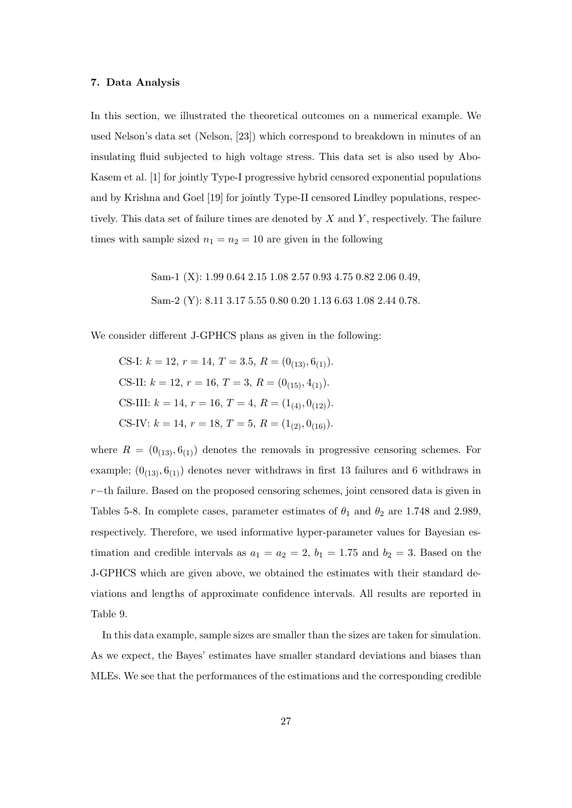#### 7. Data Analysis

In this section, we illustrated the theoretical outcomes on a numerical example. We used Nelson's data set (Nelson, [23]) which correspond to breakdown in minutes of an insulating fluid subjected to high voltage stress. This data set is also used by Abo-Kasem et al. [1] for jointly Type-I progressive hybrid censored exponential populations and by Krishna and Goel [19] for jointly Type-II censored Lindley populations, respectively. This data set of failure times are denoted by  $X$  and  $Y$ , respectively. The failure times with sample sized  $n_1 = n_2 = 10$  are given in the following

> Sam-1 (X): 1.99 0.64 2.15 1.08 2.57 0.93 4.75 0.82 2.06 0.49, Sam-2 (Y): 8.11 3.17 5.55 0.80 0.20 1.13 6.63 1.08 2.44 0.78.

We consider different J-GPHCS plans as given in the following:

CS-I:  $k = 12$ ,  $r = 14$ ,  $T = 3.5$ ,  $R = (0_{(13)}, 6_{(1)})$ . CS-II:  $k = 12$ ,  $r = 16$ ,  $T = 3$ ,  $R = (0_{(15)}, 4_{(1)})$ . CS-III:  $k = 14, r = 16, T = 4, R = (1_{(4)}, 0_{(12)})$ . CS-IV:  $k = 14$ ,  $r = 18$ ,  $T = 5$ ,  $R = (1_{(2)}, 0_{(16)})$ .

where  $R = (0_{(13)}, 6_{(1)})$  denotes the removals in progressive censoring schemes. For example;  $(0_{(13)}, 6_{(1)})$  denotes never withdraws in first 13 failures and 6 withdraws in r−th failure. Based on the proposed censoring schemes, joint censored data is given in Tables 5-8. In complete cases, parameter estimates of  $\theta_1$  and  $\theta_2$  are 1.748 and 2.989, respectively. Therefore, we used informative hyper-parameter values for Bayesian estimation and credible intervals as  $a_1 = a_2 = 2$ ,  $b_1 = 1.75$  and  $b_2 = 3$ . Based on the J-GPHCS which are given above, we obtained the estimates with their standard deviations and lengths of approximate confidence intervals. All results are reported in Table 9.

In this data example, sample sizes are smaller than the sizes are taken for simulation. As we expect, the Bayes' estimates have smaller standard deviations and biases than MLEs. We see that the performances of the estimations and the corresponding credible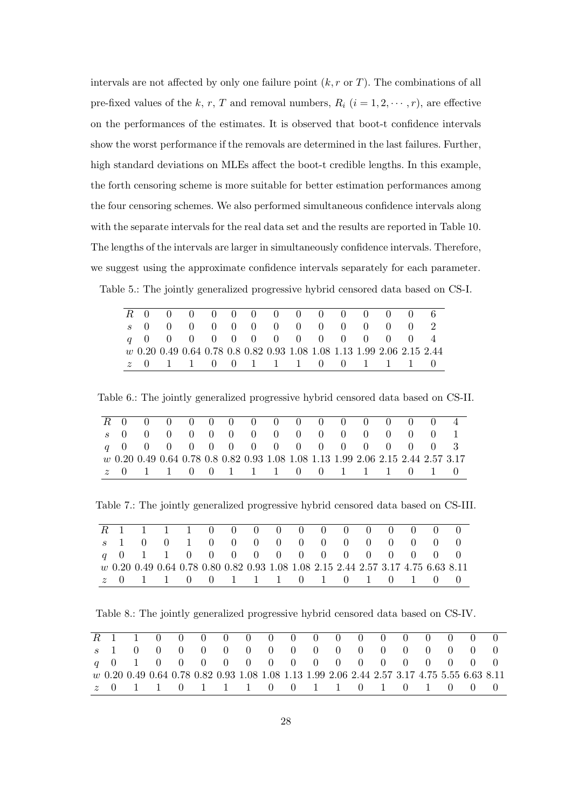intervals are not affected by only one failure point  $(k, r \text{ or } T)$ . The combinations of all pre-fixed values of the k, r, T and removal numbers,  $R_i$   $(i = 1, 2, \dots, r)$ , are effective on the performances of the estimates. It is observed that boot-t confidence intervals show the worst performance if the removals are determined in the last failures. Further, high standard deviations on MLEs affect the boot-t credible lengths. In this example, the forth censoring scheme is more suitable for better estimation performances among the four censoring schemes. We also performed simultaneous confidence intervals along with the separate intervals for the real data set and the results are reported in Table 10. The lengths of the intervals are larger in simultaneously confidence intervals. Therefore, we suggest using the approximate confidence intervals separately for each parameter. Table 5.: The jointly generalized progressive hybrid censored data based on CS-I.

|  |  |  |  | R 0 0 0 0 0 0 0 0 0 0 0 0 0 6 |  |  |                                                                          |
|--|--|--|--|-------------------------------|--|--|--------------------------------------------------------------------------|
|  |  |  |  | s 0 0 0 0 0 0 0 0 0 0 0 0 0 2 |  |  |                                                                          |
|  |  |  |  | q 0 0 0 0 0 0 0 0 0 0 0 0 0 4 |  |  |                                                                          |
|  |  |  |  |                               |  |  | $w$ 0.20 0.49 0.64 0.78 0.8 0.82 0.93 1.08 1.08 1.13 1.99 2.06 2.15 2.44 |
|  |  |  |  | z 0 1 1 0 0 1 1 1 0 0 1 1 1 0 |  |  |                                                                          |

Table 6.: The jointly generalized progressive hybrid censored data based on CS-II.

|  | R 0 0 0 0 0 0 0 0 0 0 0 0 0 0 0 4                                                |  |  |  |  |  |  |  |
|--|----------------------------------------------------------------------------------|--|--|--|--|--|--|--|
|  | s 0 0 0 0 0 0 0 0 0 0 0 0 0 0 0 1                                                |  |  |  |  |  |  |  |
|  | q 0 0 0 0 0 0 0 0 0 0 0 0 0 0 0 3                                                |  |  |  |  |  |  |  |
|  | w 0.20 0.49 0.64 0.78 0.8 0.82 0.93 1.08 1.08 1.13 1.99 2.06 2.15 2.44 2.57 3.17 |  |  |  |  |  |  |  |
|  | <i>z</i> 0 1 1 0 0 1 1 1 0 0 1 1 1 0 1 0                                         |  |  |  |  |  |  |  |

Table 7.: The jointly generalized progressive hybrid censored data based on CS-III.

|  |  |  |  |  | R 1 1 1 1 0 0 0 0 0 0 0 0 0 0 0 0 0                                               |  |  |  |
|--|--|--|--|--|-----------------------------------------------------------------------------------|--|--|--|
|  |  |  |  |  | s 1 0 0 1 0 0 0 0 0 0 0 0 0 0 0 0 0                                               |  |  |  |
|  |  |  |  |  | q 0 1 1 0 0 0 0 0 0 0 0 0 0 0 0 0 0                                               |  |  |  |
|  |  |  |  |  | w 0.20 0.49 0.64 0.78 0.80 0.82 0.93 1.08 1.08 2.15 2.44 2.57 3.17 4.75 6.63 8.11 |  |  |  |
|  |  |  |  |  | z 0 1 1 0 0 1 1 1 0 1 0 1 0 1 0 0                                                 |  |  |  |

Table 8.: The jointly generalized progressive hybrid censored data based on CS-IV.

|  |  |  | R 1 1 0 0 0 0 0 0 0 0 0 0 0 0 0 0 0 0 0                                                     |  |  |  |  |  |  |
|--|--|--|---------------------------------------------------------------------------------------------|--|--|--|--|--|--|
|  |  |  | s 1 0 0 0 0 0 0 0 0 0 0 0 0 0 0 0 0 0                                                       |  |  |  |  |  |  |
|  |  |  | q 0 1 0 0 0 0 0 0 0 0 0 0 0 0 0 0 0 0 0                                                     |  |  |  |  |  |  |
|  |  |  | w 0.20 0.49 0.64 0.78 0.82 0.93 1.08 1.08 1.13 1.99 2.06 2.44 2.57 3.17 4.75 5.55 6.63 8.11 |  |  |  |  |  |  |
|  |  |  | z 0 1 1 0 1 1 1 0 0 1 1 0 1 0 1 0 0 0                                                       |  |  |  |  |  |  |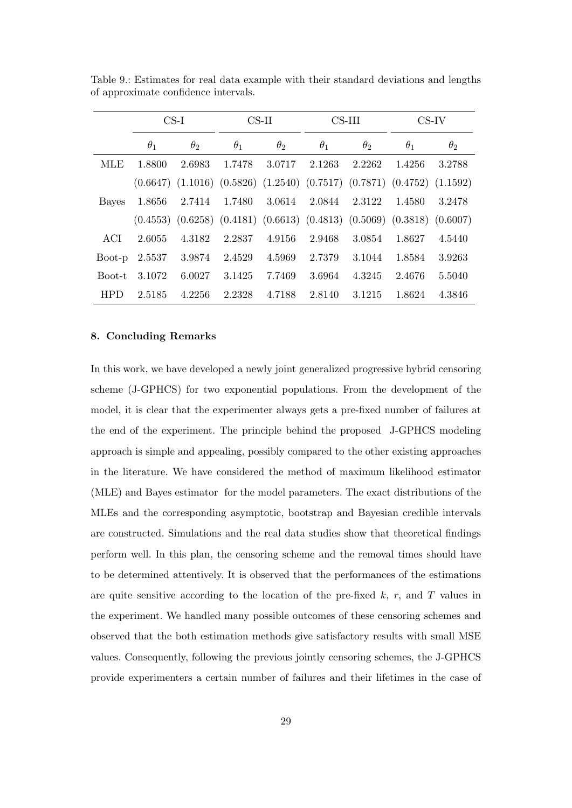|            |            | $CS-I$     |            | $CS-II$               |            | $CS$ -III  |                                                                                         | $CS$ -IV   |
|------------|------------|------------|------------|-----------------------|------------|------------|-----------------------------------------------------------------------------------------|------------|
|            | $\theta_1$ | $\theta_2$ | $\theta_1$ | $\theta$ <sub>2</sub> | $\theta_1$ | $\theta_2$ | $\theta_1$                                                                              | $\theta_2$ |
| MLE        | 1.8800     | 2.6983     | 1.7478     | 3.0717                | 2.1263     | 2.2262     | 1.4256                                                                                  | 3.2788     |
|            |            |            |            |                       |            |            | $(0.6647)$ $(1.1016)$ $(0.5826)$ $(1.2540)$ $(0.7517)$ $(0.7871)$ $(0.4752)$ $(1.1592)$ |            |
| Bayes      | 1.8656     | 2.7414     | 1.7480     | 3.0614                | 2.0844     | 2.3122     | 1.4580                                                                                  | 3.2478     |
|            |            |            |            |                       |            |            | $(0.4553)$ $(0.6258)$ $(0.4181)$ $(0.6613)$ $(0.4813)$ $(0.5069)$ $(0.3818)$ $(0.6007)$ |            |
| ACI.       | 2.6055     | 4.3182     | 2.2837     | 4.9156                | 2.9468     | 3.0854     | 1.8627                                                                                  | 4.5440     |
| Boot-p     | 2.5537     | 3.9874     | 2.4529     | 4.5969                | 2.7379     | 3.1044     | 1.8584                                                                                  | 3.9263     |
| Boot-t     | 3.1072     | 6.0027     | 3.1425     | 7.7469                | 3.6964     | 4.3245     | 2.4676                                                                                  | 5.5040     |
| <b>HPD</b> | 2.5185     | 4.2256     | 2.2328     | 4.7188                | 2.8140     | 3.1215     | 1.8624                                                                                  | 4.3846     |

Table 9.: Estimates for real data example with their standard deviations and lengths of approximate confidence intervals.

#### 8. Concluding Remarks

In this work, we have developed a newly joint generalized progressive hybrid censoring scheme (J-GPHCS) for two exponential populations. From the development of the model, it is clear that the experimenter always gets a pre-fixed number of failures at the end of the experiment. The principle behind the proposed J-GPHCS modeling approach is simple and appealing, possibly compared to the other existing approaches in the literature. We have considered the method of maximum likelihood estimator (MLE) and Bayes estimator for the model parameters. The exact distributions of the MLEs and the corresponding asymptotic, bootstrap and Bayesian credible intervals are constructed. Simulations and the real data studies show that theoretical findings perform well. In this plan, the censoring scheme and the removal times should have to be determined attentively. It is observed that the performances of the estimations are quite sensitive according to the location of the pre-fixed  $k$ ,  $r$ , and  $T$  values in the experiment. We handled many possible outcomes of these censoring schemes and observed that the both estimation methods give satisfactory results with small MSE values. Consequently, following the previous jointly censoring schemes, the J-GPHCS provide experimenters a certain number of failures and their lifetimes in the case of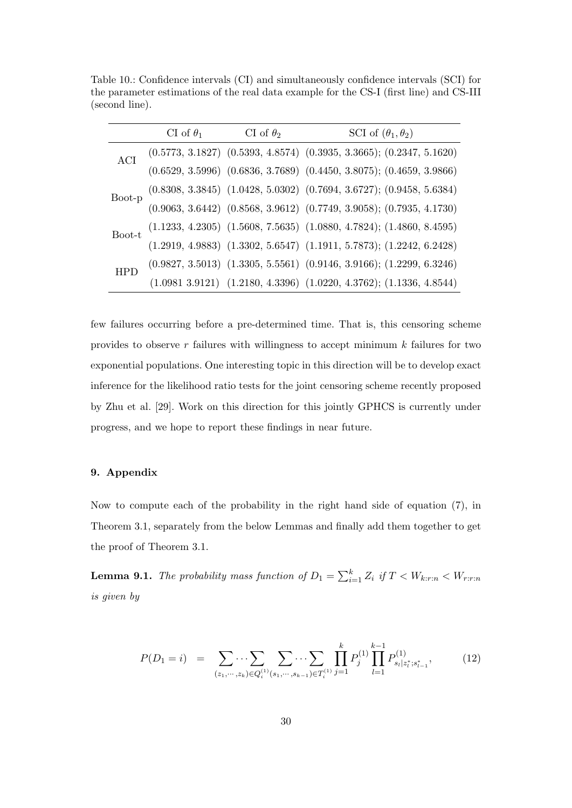Table 10.: Confidence intervals (CI) and simultaneously confidence intervals (SCI) for the parameter estimations of the real data example for the CS-I (first line) and CS-III (second line).

|     | CI of $\theta_1$ | CI of $\theta_2$ | SCI of $(\theta_1, \theta_2)$                                                                                                                                                                                                       |
|-----|------------------|------------------|-------------------------------------------------------------------------------------------------------------------------------------------------------------------------------------------------------------------------------------|
| ACI |                  |                  |                                                                                                                                                                                                                                     |
|     |                  |                  | $\label{eq:16} \begin{array}{c} (0.5773,\,3.1827) \;\; (0.5393,\,4.8574) \;\; (0.3935,\,3.3665); \; (0.2347,\,5.1620) \\ (0.6529,\,3.5996) \;\; (0.6836,\,3.7689) \;\; (0.4450,\,3.8075); \; (0.4659,\,3.9866) \end{array}$         |
|     |                  |                  |                                                                                                                                                                                                                                     |
|     |                  |                  | $\text{Boot-p} \begin{array}{l} (0.8308,\, 3.3845) \;\; (1.0428,\, 5.0302) \;\; (0.7694,\, 3.6727); \; (0.9458,\, 5.6384) \\ (0.9063,\, 3.6442) \;\; (0.8568,\, 3.9612) \;\; (0.7749,\, 3.9058); \; (0.7935,\, 4.1730) \end{array}$ |
|     |                  |                  |                                                                                                                                                                                                                                     |
|     |                  |                  | $\text{Boot-t}\ \begin{array}{c} (1.1233,\,4.2305)\ \ (1.5608,\,7.5635)\ \ (1.0880,\,4.7824);\,(1.4860,\,8.4595) \\[0.12919,\,4.9883)\ \ (1.3302,\,5.6547)\ \ (1.1911,\,5.7873);\,(1.2242,\,6.2428) \end{array}$                    |
|     |                  |                  |                                                                                                                                                                                                                                     |
|     |                  |                  | $\begin{array}{l} (0.9827,\, 3.5013) \;\; (1.3305,\, 5.5561) \;\; (0.9146,\, 3.9166); \; (1.2299,\, 6.3246) \\ (1.0981\,\, 3.9121) \;\; (1.2180,\, 4.3396) \;\; (1.0220,\, 4.3762); \; (1.1336,\, 4.8544) \end{array}$              |

few failures occurring before a pre-determined time. That is, this censoring scheme provides to observe  $r$  failures with willingness to accept minimum  $k$  failures for two exponential populations. One interesting topic in this direction will be to develop exact inference for the likelihood ratio tests for the joint censoring scheme recently proposed by Zhu et al. [29]. Work on this direction for this jointly GPHCS is currently under progress, and we hope to report these findings in near future.

# 9. Appendix

Now to compute each of the probability in the right hand side of equation (7), in Theorem 3.1, separately from the below Lemmas and finally add them together to get the proof of Theorem 3.1.

**Lemma 9.1.** The probability mass function of  $D_1 = \sum_{i=1}^k Z_i$  if  $T < W_{k:r:n} < W_{r:r:n}$ is given by

$$
P(D_1 = i) = \sum_{(z_1, \dots, z_k) \in Q_i^{(1)}(s_1, \dots, s_{k-1}) \in T_i^{(1)}} \prod_{j=1}^k P_j^{(1)} \prod_{l=1}^{k-1} P_{s_l | z_l^*; s_{l-1}^*}^{(1)},
$$
(12)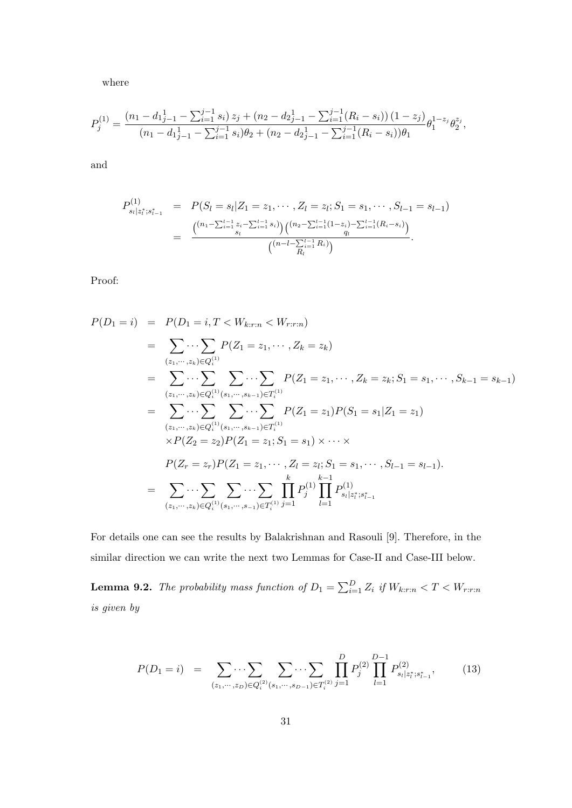where

$$
P_j^{(1)} = \frac{(n_1 - d_{1j-1} - \sum_{i=1}^{j-1} s_i) z_j + (n_2 - d_{2j-1} - \sum_{i=1}^{j-1} (R_i - s_i)) (1 - z_j)}{(n_1 - d_{1j-1} - \sum_{i=1}^{j-1} s_i) \theta_2 + (n_2 - d_{2j-1} - \sum_{i=1}^{j-1} (R_i - s_i)) \theta_1} \theta_1^{1 - z_j} \theta_2^{z_j},
$$

and

$$
P_{s_l|z_l^*;s_{l-1}^*}^{(1)} = P(S_l = s_l|Z_1 = z_1, \cdots, Z_l = z_l; S_1 = s_1, \cdots, S_{l-1} = s_{l-1})
$$
  
= 
$$
\frac{\binom{(n_1 - \sum_{i=1}^{l-1} z_i - \sum_{i=1}^{l-1} s_i)}{s_l} \binom{(n_2 - \sum_{i=1}^{l-1} (1 - z_i) - \sum_{i=1}^{l-1} (R_i - s_i))}{q_l}}{\binom{(n - l - \sum_{i=1}^{l-1} R_i)}{R_l}}.
$$

Proof:

$$
P(D_1 = i) = P(D_1 = i, T < W_{k:r:n} < W_{r:r:n})
$$
\n
$$
= \sum_{(z_1, \dots, z_k) \in Q_i^{(1)}} P(Z_1 = z_1, \dots, Z_k = z_k)
$$
\n
$$
= \sum_{(z_1, \dots, z_k) \in Q_i^{(1)}} \sum_{(s_1, \dots, s_{k-1}) \in T_i^{(1)}} P(Z_1 = z_1, \dots, Z_k = z_k; S_1 = s_1, \dots, S_{k-1} = s_{k-1})
$$
\n
$$
= \sum_{(z_1, \dots, z_k) \in Q_i^{(1)}(s_1, \dots, s_{k-1}) \in T_i^{(1)}} \sum_{(s_1, \dots, s_k) \in T_i^{(1)}} P(Z_1 = z_1) P(S_1 = s_1 | Z_1 = z_1)
$$
\n
$$
\times P(Z_2 = z_2) P(Z_1 = z_1; S_1 = s_1) \times \dots \times
$$
\n
$$
P(Z_r = z_r) P(Z_1 = z_1, \dots, Z_l = z_l; S_1 = s_1, \dots, S_{l-1} = s_{l-1}).
$$
\n
$$
= \sum_{(z_1, \dots, z_k) \in Q_i^{(1)}(s_1, \dots, s_{l-1}) \in T_i^{(1)}} \prod_{j=1}^{k} P_j^{(1)} \prod_{l=1}^{k} P_{s_l | z_l^*; s_{l-1}^*}^{(1)}
$$

For details one can see the results by Balakrishnan and Rasouli [9]. Therefore, in the similar direction we can write the next two Lemmas for Case-II and Case-III below.

**Lemma 9.2.** The probability mass function of  $D_1 = \sum_{i=1}^{D} Z_i$  if  $W_{k:r:n} < T < W_{r:r:n}$ is given by

$$
P(D_1 = i) = \sum_{(z_1, \dots, z_D) \in Q_i^{(2)}(s_1, \dots, s_{D-1}) \in T_i^{(2)}} \prod_{j=1}^D P_j^{(2)} \prod_{l=1}^{D-1} P_{s_l | z_l^*; s_{l-1}^*}^{(2)},
$$
(13)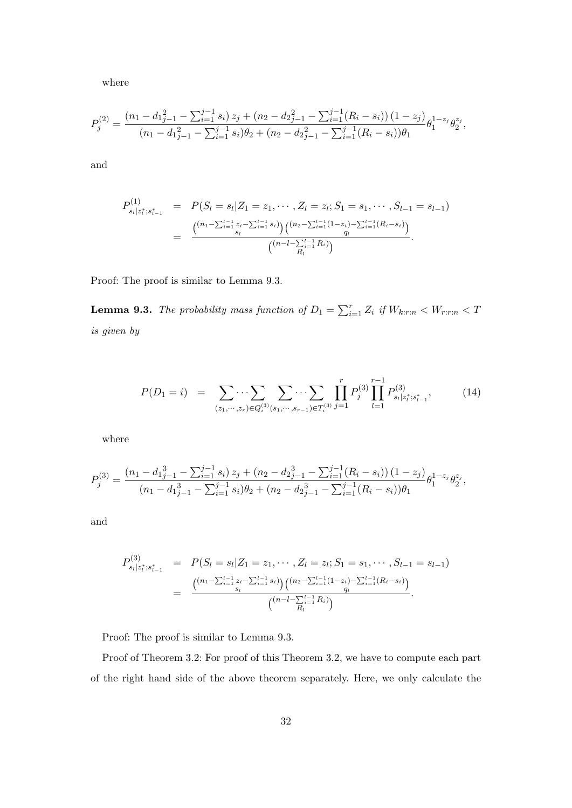where

$$
P_j^{(2)} = \frac{(n_1 - d_{1j-1}^2 - \sum_{i=1}^{j-1} s_i) z_j + (n_2 - d_{2j-1}^2 - \sum_{i=1}^{j-1} (R_i - s_i)) (1 - z_j)}{(n_1 - d_{1j-1}^2 - \sum_{i=1}^{j-1} s_i) \theta_2 + (n_2 - d_{2j-1}^2 - \sum_{i=1}^{j-1} (R_i - s_i)) \theta_1} \theta_1^{1-z_j} \theta_2^{z_j},
$$

and

$$
P_{s_l|z_l^*;s_{l-1}^*}^{(1)} = P(S_l = s_l|Z_1 = z_1, \cdots, Z_l = z_l; S_1 = s_1, \cdots, S_{l-1} = s_{l-1})
$$
  
= 
$$
\frac{\binom{(n_1 - \sum_{i=1}^{l-1} z_i - \sum_{i=1}^{l-1} s_i)}{s_l} \binom{(n_2 - \sum_{i=1}^{l-1} (1 - z_i) - \sum_{i=1}^{l-1} (R_i - s_i))}{q_l}}{\binom{(n - l - \sum_{i=1}^{l-1} R_i)}{R_i}}.
$$

Proof: The proof is similar to Lemma 9.3.

**Lemma 9.3.** The probability mass function of  $D_1 = \sum_{i=1}^r Z_i$  if  $W_{k:r:n} < W_{r:r:n} < T$ is given by

$$
P(D_1 = i) = \sum_{(z_1, \dots, z_r) \in Q_i^{(3)}(s_1, \dots, s_{r-1}) \in T_i^{(3)}} \prod_{j=1}^r P_j^{(3)} \prod_{l=1}^{r-1} P_{s_l | z_l^*; s_{l-1}^*}^{(3)},
$$
(14)

where

$$
P_j^{(3)} = \frac{(n_1 - d_1_{j-1}^3 - \sum_{i=1}^{j-1} s_i) z_j + (n_2 - d_2_{j-1}^3 - \sum_{i=1}^{j-1} (R_i - s_i)) (1 - z_j)}{(n_1 - d_1_{j-1}^3 - \sum_{i=1}^{j-1} s_i) \theta_2 + (n_2 - d_2_{j-1}^3 - \sum_{i=1}^{j-1} (R_i - s_i)) \theta_1} \theta_1^{1 - z_j} \theta_2^{z_j},
$$

and

$$
P_{s_l|z_l^*;s_{l-1}^*}^{(3)} = P(S_l = s_l|Z_1 = z_1, \cdots, Z_l = z_l; S_1 = s_1, \cdots, S_{l-1} = s_{l-1})
$$
  
= 
$$
\frac{\binom{(n_1 - \sum_{i=1}^{l-1} z_i - \sum_{i=1}^{l-1} s_i)}{s_l} \binom{(n_2 - \sum_{i=1}^{l-1} (1 - z_i) - \sum_{i=1}^{l-1} (R_i - s_i))}{q_l}}{\binom{(n - l - \sum_{i=1}^{l-1} R_i)}{q_l}}.
$$

Proof: The proof is similar to Lemma 9.3.

Proof of Theorem 3.2: For proof of this Theorem 3.2, we have to compute each part of the right hand side of the above theorem separately. Here, we only calculate the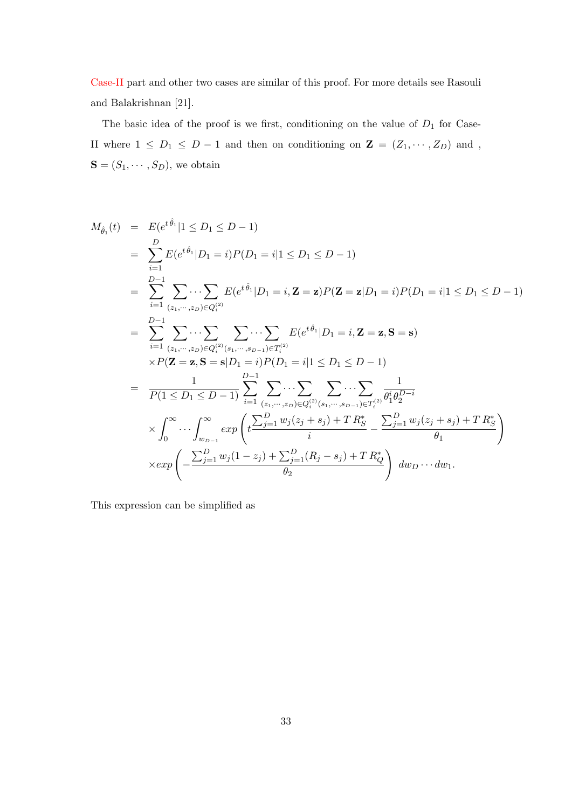Case-II part and other two cases are similar of this proof. For more details see Rasouli and Balakrishnan [21].

The basic idea of the proof is we first, conditioning on the value of  $D_1$  for Case-II where  $1 \le D_1 \le D-1$  and then on conditioning on  $\mathbf{Z} = (Z_1, \cdots, Z_D)$  and,  $\mathbf{S} = (S_1, \cdots, S_D),$  we obtain

$$
M_{\hat{\theta}_1}(t) = E(e^{t\hat{\theta}_1}|1 \leq D_1 \leq D-1)
$$
  
\n
$$
= \sum_{i=1}^{D} E(e^{t\hat{\theta}_1}|D_1 = i)P(D_1 = i|1 \leq D_1 \leq D-1)
$$
  
\n
$$
= \sum_{i=1}^{D-1} \sum_{(z_1, \dots, z_D) \in Q_i^{(2)}} E(e^{t\hat{\theta}_1}|D_1 = i, \mathbf{Z} = \mathbf{z})P(\mathbf{Z} = \mathbf{z}|D_1 = i)P(D_1 = i|1 \leq D_1 \leq D-1)
$$
  
\n
$$
= \sum_{i=1}^{D-1} \sum_{(z_1, \dots, z_D) \in Q_i^{(2)}(s_1, \dots, s_{D-1}) \in T_i^{(2)}} \cdots \sum_{k=1}^{D-1} E(e^{t\hat{\theta}_1}|D_1 = i, \mathbf{Z} = \mathbf{z}, \mathbf{S} = \mathbf{s})
$$
  
\n
$$
\times P(\mathbf{Z} = \mathbf{z}, \mathbf{S} = \mathbf{s}|D_1 = i)P(D_1 = i|1 \leq D_1 \leq D-1)
$$
  
\n
$$
= \frac{1}{P(1 \leq D_1 \leq D-1)} \sum_{i=1}^{D-1} \sum_{(z_1, \dots, z_D) \in Q_i^{(2)}(s_1, \dots, s_{D-1}) \in T_i^{(2)}} \frac{1}{\theta_1^i \theta_2^{D-i}}
$$
  
\n
$$
\times \int_0^\infty \cdots \int_{w_{D-1}}^\infty exp\left(t \frac{\sum_{j=1}^D w_j(z_j + s_j) + T R_0^*}{i} - \frac{\sum_{j=1}^D w_j(z_j + s_j) + T R_0^*}{\theta_1}\right)
$$
  
\n
$$
\times exp\left(-\frac{\sum_{j=1}^D w_j(1 - z_j) + \sum_{j=1}^D (R_j - s_j) + T R_0^*}{\theta_2}\right) dw_D \cdots dw_1.
$$

This expression can be simplified as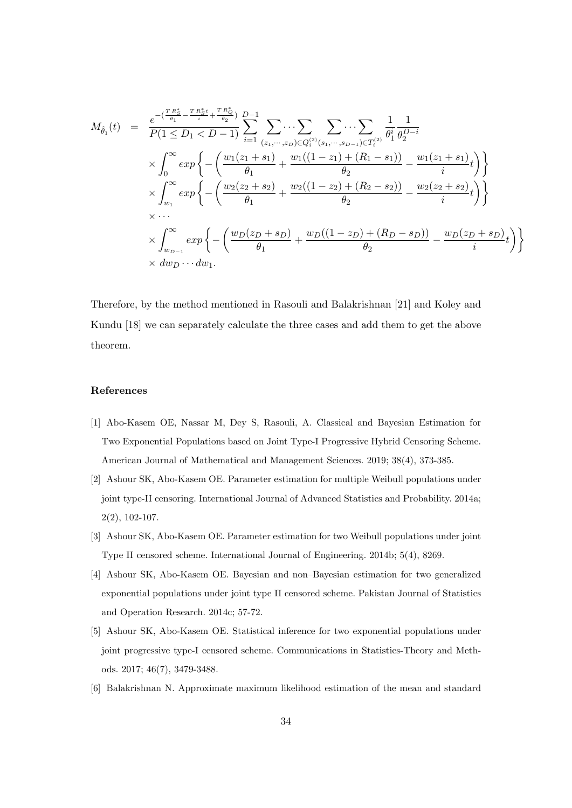$$
M_{\hat{\theta}_1}(t) = \frac{e^{-\left(\frac{T R_S^*}{\theta_1} - \frac{T R_S^* t}{i} + \frac{T R_Q^*}{\theta_2}\right)} D - 1}{P(1 \leq D_1 < D - 1)} \sum_{i=1}^{n} \sum_{(z_1, \dots, z_D) \in Q_i^{(2)}(s_1, \dots, s_{D-1}) \in T_i^{(2)}} \frac{1}{\theta_1^i} \frac{1}{\theta_2^{D-i}} \\
\times \int_0^\infty exp \left\{-\left(\frac{w_1(z_1 + s_1)}{\theta_1} + \frac{w_1((1 - z_1) + (R_1 - s_1))}{\theta_2} - \frac{w_1(z_1 + s_1)}{i}t}{\theta_2}\right)\right\} \\
\times \int_{w_1}^\infty exp \left\{-\left(\frac{w_2(z_2 + s_2)}{\theta_1} + \frac{w_2((1 - z_2) + (R_2 - s_2))}{\theta_2} - \frac{w_2(z_2 + s_2)}{i}t}{\theta_2}\right)\right\} \\
\times \dots \\
\times \int_{w_{D-1}}^\infty exp \left\{-\left(\frac{w_D(z_D + s_D)}{\theta_1} + \frac{w_D((1 - z_D) + (R_D - s_D))}{\theta_2} - \frac{w_D(z_D + s_D)}{i}t\right)\right\} \\
\times dw_D \dots dw_1.
$$

Therefore, by the method mentioned in Rasouli and Balakrishnan [21] and Koley and Kundu [18] we can separately calculate the three cases and add them to get the above theorem.

# References

- [1] Abo-Kasem OE, Nassar M, Dey S, Rasouli, A. Classical and Bayesian Estimation for Two Exponential Populations based on Joint Type-I Progressive Hybrid Censoring Scheme. American Journal of Mathematical and Management Sciences. 2019; 38(4), 373-385.
- [2] Ashour SK, Abo-Kasem OE. Parameter estimation for multiple Weibull populations under joint type-II censoring. International Journal of Advanced Statistics and Probability. 2014a;  $2(2), 102-107.$
- [3] Ashour SK, Abo-Kasem OE. Parameter estimation for two Weibull populations under joint Type II censored scheme. International Journal of Engineering. 2014b; 5(4), 8269.
- [4] Ashour SK, Abo-Kasem OE. Bayesian and non–Bayesian estimation for two generalized exponential populations under joint type II censored scheme. Pakistan Journal of Statistics and Operation Research. 2014c; 57-72.
- [5] Ashour SK, Abo-Kasem OE. Statistical inference for two exponential populations under joint progressive type-I censored scheme. Communications in Statistics-Theory and Methods. 2017; 46(7), 3479-3488.
- [6] Balakrishnan N. Approximate maximum likelihood estimation of the mean and standard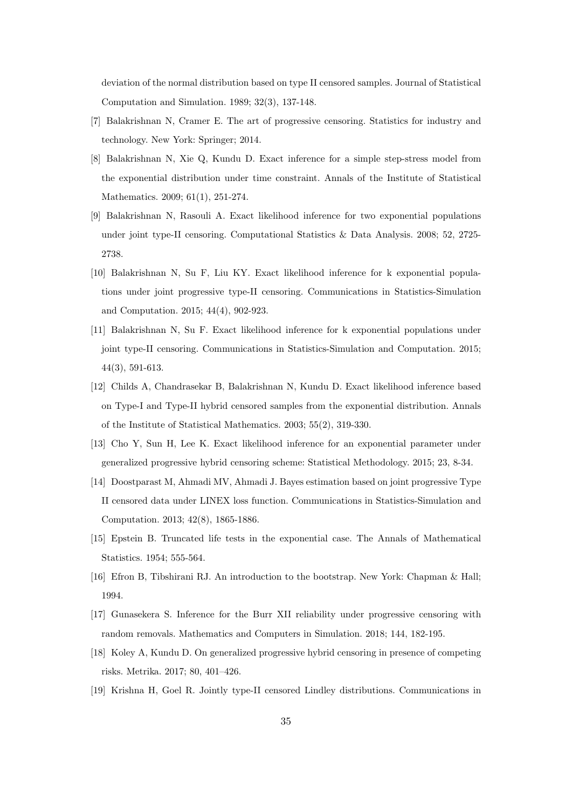deviation of the normal distribution based on type II censored samples. Journal of Statistical Computation and Simulation. 1989; 32(3), 137-148.

- [7] Balakrishnan N, Cramer E. The art of progressive censoring. Statistics for industry and technology. New York: Springer; 2014.
- [8] Balakrishnan N, Xie Q, Kundu D. Exact inference for a simple step-stress model from the exponential distribution under time constraint. Annals of the Institute of Statistical Mathematics. 2009; 61(1), 251-274.
- [9] Balakrishnan N, Rasouli A. Exact likelihood inference for two exponential populations under joint type-II censoring. Computational Statistics & Data Analysis. 2008; 52, 2725- 2738.
- [10] Balakrishnan N, Su F, Liu KY. Exact likelihood inference for k exponential populations under joint progressive type-II censoring. Communications in Statistics-Simulation and Computation. 2015; 44(4), 902-923.
- [11] Balakrishnan N, Su F. Exact likelihood inference for k exponential populations under joint type-II censoring. Communications in Statistics-Simulation and Computation. 2015; 44(3), 591-613.
- [12] Childs A, Chandrasekar B, Balakrishnan N, Kundu D. Exact likelihood inference based on Type-I and Type-II hybrid censored samples from the exponential distribution. Annals of the Institute of Statistical Mathematics. 2003; 55(2), 319-330.
- [13] Cho Y, Sun H, Lee K. Exact likelihood inference for an exponential parameter under generalized progressive hybrid censoring scheme: Statistical Methodology. 2015; 23, 8-34.
- [14] Doostparast M, Ahmadi MV, Ahmadi J. Bayes estimation based on joint progressive Type II censored data under LINEX loss function. Communications in Statistics-Simulation and Computation. 2013; 42(8), 1865-1886.
- [15] Epstein B. Truncated life tests in the exponential case. The Annals of Mathematical Statistics. 1954; 555-564.
- [16] Efron B, Tibshirani RJ. An introduction to the bootstrap. New York: Chapman & Hall; 1994.
- [17] Gunasekera S. Inference for the Burr XII reliability under progressive censoring with random removals. Mathematics and Computers in Simulation. 2018; 144, 182-195.
- [18] Koley A, Kundu D. On generalized progressive hybrid censoring in presence of competing risks. Metrika. 2017; 80, 401–426.
- [19] Krishna H, Goel R. Jointly type-II censored Lindley distributions. Communications in